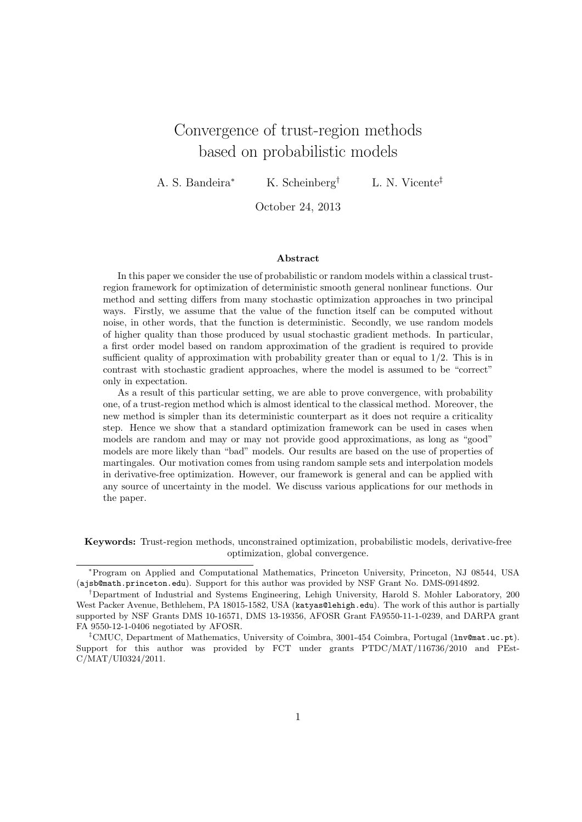# Convergence of trust-region methods based on probabilistic models

A. S. Bandeira<sup>∗</sup> K. Scheinberg<sup>†</sup> L. N. Vicente<sup>‡</sup>

October 24, 2013

#### Abstract

In this paper we consider the use of probabilistic or random models within a classical trustregion framework for optimization of deterministic smooth general nonlinear functions. Our method and setting differs from many stochastic optimization approaches in two principal ways. Firstly, we assume that the value of the function itself can be computed without noise, in other words, that the function is deterministic. Secondly, we use random models of higher quality than those produced by usual stochastic gradient methods. In particular, a first order model based on random approximation of the gradient is required to provide sufficient quality of approximation with probability greater than or equal to  $1/2$ . This is in contrast with stochastic gradient approaches, where the model is assumed to be "correct" only in expectation.

As a result of this particular setting, we are able to prove convergence, with probability one, of a trust-region method which is almost identical to the classical method. Moreover, the new method is simpler than its deterministic counterpart as it does not require a criticality step. Hence we show that a standard optimization framework can be used in cases when models are random and may or may not provide good approximations, as long as "good" models are more likely than "bad" models. Our results are based on the use of properties of martingales. Our motivation comes from using random sample sets and interpolation models in derivative-free optimization. However, our framework is general and can be applied with any source of uncertainty in the model. We discuss various applications for our methods in the paper.

Keywords: Trust-region methods, unconstrained optimization, probabilistic models, derivative-free optimization, global convergence.

<sup>∗</sup>Program on Applied and Computational Mathematics, Princeton University, Princeton, NJ 08544, USA (ajsb@math.princeton.edu). Support for this author was provided by NSF Grant No. DMS-0914892.

<sup>†</sup>Department of Industrial and Systems Engineering, Lehigh University, Harold S. Mohler Laboratory, 200 West Packer Avenue, Bethlehem, PA 18015-1582, USA (katyas@lehigh.edu). The work of this author is partially supported by NSF Grants DMS 10-16571, DMS 13-19356, AFOSR Grant FA9550-11-1-0239, and DARPA grant FA 9550-12-1-0406 negotiated by AFOSR.

<sup>‡</sup>CMUC, Department of Mathematics, University of Coimbra, 3001-454 Coimbra, Portugal (lnv@mat.uc.pt). Support for this author was provided by FCT under grants PTDC/MAT/116736/2010 and PEst-C/MAT/UI0324/2011.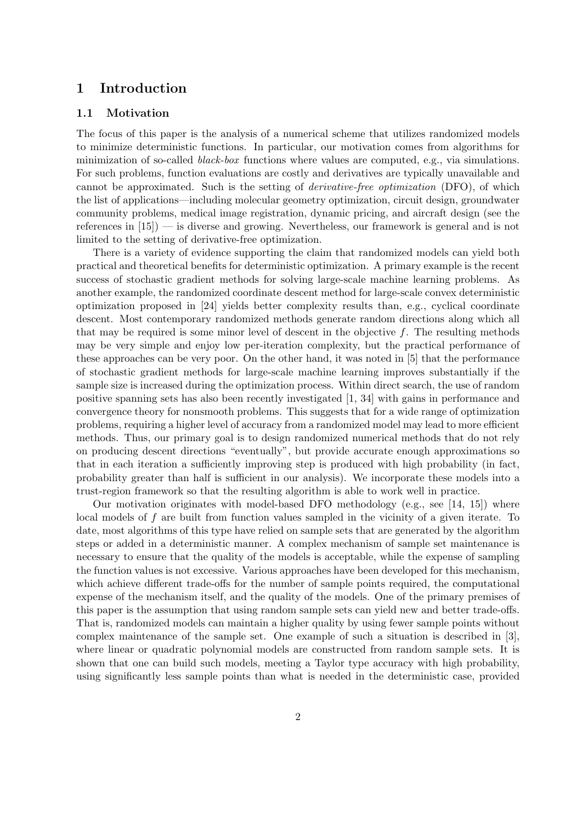# 1 Introduction

#### 1.1 Motivation

The focus of this paper is the analysis of a numerical scheme that utilizes randomized models to minimize deterministic functions. In particular, our motivation comes from algorithms for minimization of so-called *black-box* functions where values are computed, e.g., via simulations. For such problems, function evaluations are costly and derivatives are typically unavailable and cannot be approximated. Such is the setting of derivative-free optimization (DFO), of which the list of applications—including molecular geometry optimization, circuit design, groundwater community problems, medical image registration, dynamic pricing, and aircraft design (see the references in [15]) — is diverse and growing. Nevertheless, our framework is general and is not limited to the setting of derivative-free optimization.

There is a variety of evidence supporting the claim that randomized models can yield both practical and theoretical benefits for deterministic optimization. A primary example is the recent success of stochastic gradient methods for solving large-scale machine learning problems. As another example, the randomized coordinate descent method for large-scale convex deterministic optimization proposed in [24] yields better complexity results than, e.g., cyclical coordinate descent. Most contemporary randomized methods generate random directions along which all that may be required is some minor level of descent in the objective  $f$ . The resulting methods may be very simple and enjoy low per-iteration complexity, but the practical performance of these approaches can be very poor. On the other hand, it was noted in [5] that the performance of stochastic gradient methods for large-scale machine learning improves substantially if the sample size is increased during the optimization process. Within direct search, the use of random positive spanning sets has also been recently investigated [1, 34] with gains in performance and convergence theory for nonsmooth problems. This suggests that for a wide range of optimization problems, requiring a higher level of accuracy from a randomized model may lead to more efficient methods. Thus, our primary goal is to design randomized numerical methods that do not rely on producing descent directions "eventually", but provide accurate enough approximations so that in each iteration a sufficiently improving step is produced with high probability (in fact, probability greater than half is sufficient in our analysis). We incorporate these models into a trust-region framework so that the resulting algorithm is able to work well in practice.

Our motivation originates with model-based DFO methodology (e.g., see [14, 15]) where local models of f are built from function values sampled in the vicinity of a given iterate. To date, most algorithms of this type have relied on sample sets that are generated by the algorithm steps or added in a deterministic manner. A complex mechanism of sample set maintenance is necessary to ensure that the quality of the models is acceptable, while the expense of sampling the function values is not excessive. Various approaches have been developed for this mechanism, which achieve different trade-offs for the number of sample points required, the computational expense of the mechanism itself, and the quality of the models. One of the primary premises of this paper is the assumption that using random sample sets can yield new and better trade-offs. That is, randomized models can maintain a higher quality by using fewer sample points without complex maintenance of the sample set. One example of such a situation is described in [3], where linear or quadratic polynomial models are constructed from random sample sets. It is shown that one can build such models, meeting a Taylor type accuracy with high probability, using significantly less sample points than what is needed in the deterministic case, provided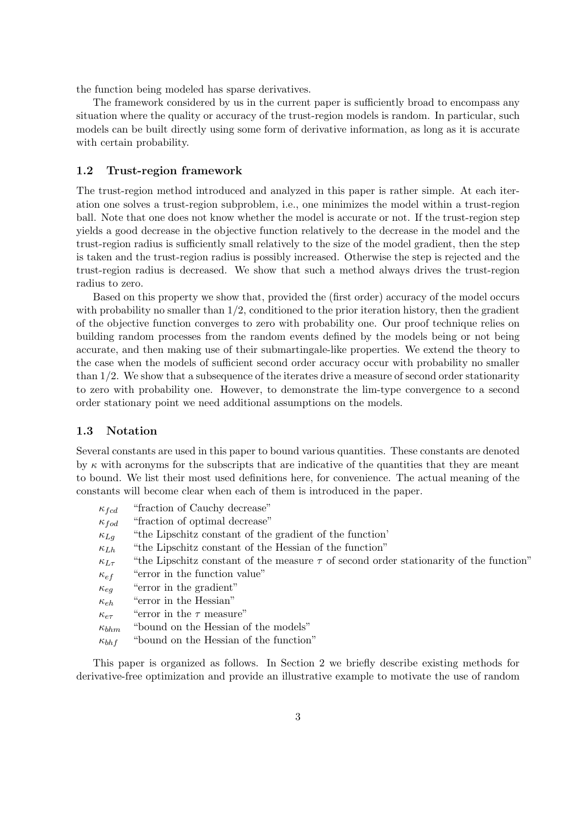the function being modeled has sparse derivatives.

The framework considered by us in the current paper is sufficiently broad to encompass any situation where the quality or accuracy of the trust-region models is random. In particular, such models can be built directly using some form of derivative information, as long as it is accurate with certain probability.

#### 1.2 Trust-region framework

The trust-region method introduced and analyzed in this paper is rather simple. At each iteration one solves a trust-region subproblem, i.e., one minimizes the model within a trust-region ball. Note that one does not know whether the model is accurate or not. If the trust-region step yields a good decrease in the objective function relatively to the decrease in the model and the trust-region radius is sufficiently small relatively to the size of the model gradient, then the step is taken and the trust-region radius is possibly increased. Otherwise the step is rejected and the trust-region radius is decreased. We show that such a method always drives the trust-region radius to zero.

Based on this property we show that, provided the (first order) accuracy of the model occurs with probability no smaller than  $1/2$ , conditioned to the prior iteration history, then the gradient of the objective function converges to zero with probability one. Our proof technique relies on building random processes from the random events defined by the models being or not being accurate, and then making use of their submartingale-like properties. We extend the theory to the case when the models of sufficient second order accuracy occur with probability no smaller than 1/2. We show that a subsequence of the iterates drive a measure of second order stationarity to zero with probability one. However, to demonstrate the lim-type convergence to a second order stationary point we need additional assumptions on the models.

#### 1.3 Notation

Several constants are used in this paper to bound various quantities. These constants are denoted by  $\kappa$  with acronyms for the subscripts that are indicative of the quantities that they are meant to bound. We list their most used definitions here, for convenience. The actual meaning of the constants will become clear when each of them is introduced in the paper.

| $\kappa_{fcd}$   | "fraction of Cauchy decrease"                                                               |
|------------------|---------------------------------------------------------------------------------------------|
| $\kappa_{fod}$   | "fraction of optimal decrease"                                                              |
| $\kappa_{Lq}$    | "the Lipschitz constant of the gradient of the function"                                    |
| $\kappa_{Lh}$    | "the Lipschitz constant of the Hessian of the function"                                     |
| $\kappa_{L\tau}$ | "the Lipschitz constant of the measure $\tau$ of second order stationarity of the function" |
| $\kappa_{ef}$    | "error in the function value"                                                               |
| $\kappa_{eq}$    | "error in the gradient"                                                                     |
| $\kappa_{eh}$    | "error in the Hessian"                                                                      |
| $\kappa_{e\tau}$ | "error in the $\tau$ measure"                                                               |
| $\kappa_{bhm}$   | "bound on the Hessian of the models"                                                        |
| $\kappa_{bh}$ f  | "bound on the Hessian of the function"                                                      |
|                  |                                                                                             |

This paper is organized as follows. In Section 2 we briefly describe existing methods for derivative-free optimization and provide an illustrative example to motivate the use of random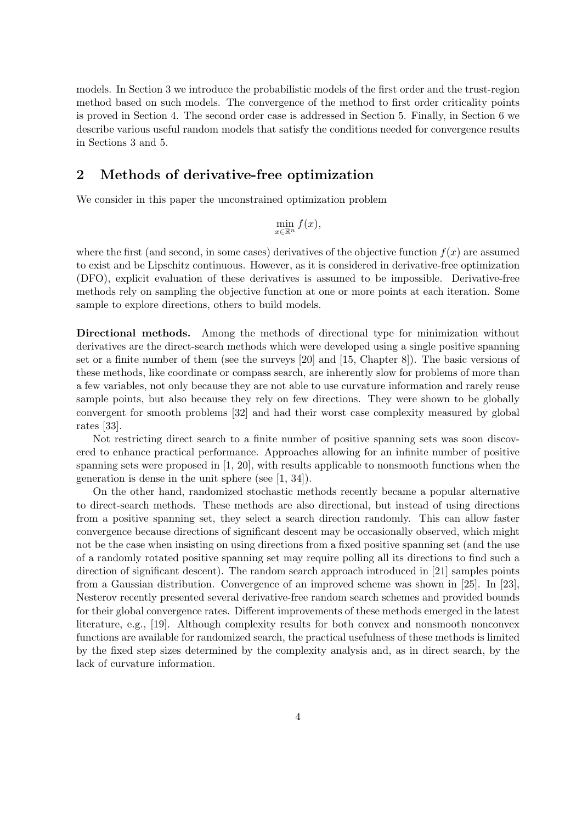models. In Section 3 we introduce the probabilistic models of the first order and the trust-region method based on such models. The convergence of the method to first order criticality points is proved in Section 4. The second order case is addressed in Section 5. Finally, in Section 6 we describe various useful random models that satisfy the conditions needed for convergence results in Sections 3 and 5.

## 2 Methods of derivative-free optimization

We consider in this paper the unconstrained optimization problem

$$
\min_{x \in \mathbb{R}^n} f(x),
$$

where the first (and second, in some cases) derivatives of the objective function  $f(x)$  are assumed to exist and be Lipschitz continuous. However, as it is considered in derivative-free optimization (DFO), explicit evaluation of these derivatives is assumed to be impossible. Derivative-free methods rely on sampling the objective function at one or more points at each iteration. Some sample to explore directions, others to build models.

Directional methods. Among the methods of directional type for minimization without derivatives are the direct-search methods which were developed using a single positive spanning set or a finite number of them (see the surveys [20] and [15, Chapter 8]). The basic versions of these methods, like coordinate or compass search, are inherently slow for problems of more than a few variables, not only because they are not able to use curvature information and rarely reuse sample points, but also because they rely on few directions. They were shown to be globally convergent for smooth problems [32] and had their worst case complexity measured by global rates [33].

Not restricting direct search to a finite number of positive spanning sets was soon discovered to enhance practical performance. Approaches allowing for an infinite number of positive spanning sets were proposed in  $[1, 20]$ , with results applicable to nonsmooth functions when the generation is dense in the unit sphere (see [1, 34]).

On the other hand, randomized stochastic methods recently became a popular alternative to direct-search methods. These methods are also directional, but instead of using directions from a positive spanning set, they select a search direction randomly. This can allow faster convergence because directions of significant descent may be occasionally observed, which might not be the case when insisting on using directions from a fixed positive spanning set (and the use of a randomly rotated positive spanning set may require polling all its directions to find such a direction of significant descent). The random search approach introduced in [21] samples points from a Gaussian distribution. Convergence of an improved scheme was shown in [25]. In [23], Nesterov recently presented several derivative-free random search schemes and provided bounds for their global convergence rates. Different improvements of these methods emerged in the latest literature, e.g., [19]. Although complexity results for both convex and nonsmooth nonconvex functions are available for randomized search, the practical usefulness of these methods is limited by the fixed step sizes determined by the complexity analysis and, as in direct search, by the lack of curvature information.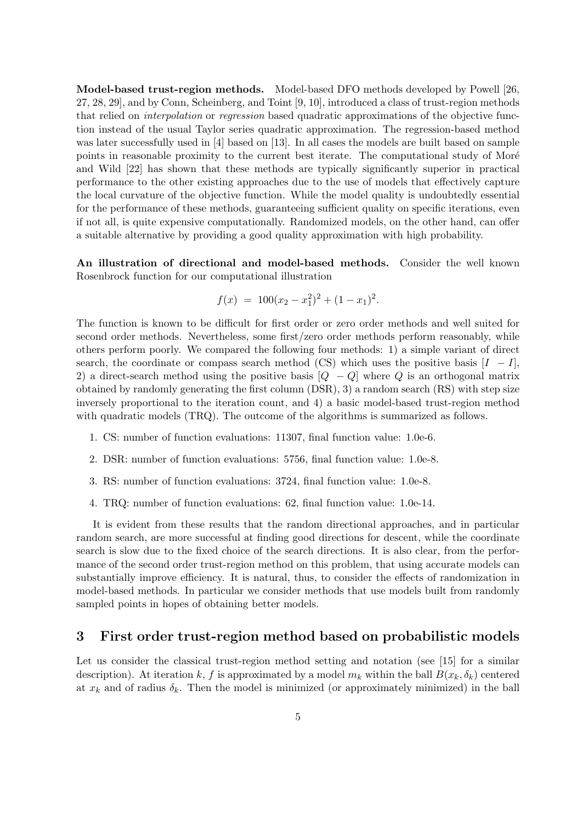Model-based trust-region methods. Model-based DFO methods developed by Powell [26, 27, 28, 29], and by Conn, Scheinberg, and Toint [9, 10], introduced a class of trust-region methods that relied on interpolation or regression based quadratic approximations of the objective function instead of the usual Taylor series quadratic approximation. The regression-based method was later successfully used in [4] based on [13]. In all cases the models are built based on sample points in reasonable proximity to the current best iterate. The computational study of Moré and Wild [22] has shown that these methods are typically significantly superior in practical performance to the other existing approaches due to the use of models that effectively capture the local curvature of the objective function. While the model quality is undoubtedly essential for the performance of these methods, guaranteeing sufficient quality on specific iterations, even if not all, is quite expensive computationally. Randomized models, on the other hand, can offer a suitable alternative by providing a good quality approximation with high probability.

An illustration of directional and model-based methods. Consider the well known Rosenbrock function for our computational illustration

$$
f(x) = 100(x_2 - x_1^2)^2 + (1 - x_1)^2.
$$

The function is known to be difficult for first order or zero order methods and well suited for second order methods. Nevertheless, some first/zero order methods perform reasonably, while others perform poorly. We compared the following four methods: 1) a simple variant of direct search, the coordinate or compass search method (CS) which uses the positive basis  $[I - I]$ , 2) a direct-search method using the positive basis  $[Q - Q]$  where Q is an orthogonal matrix obtained by randomly generating the first column (DSR), 3) a random search (RS) with step size inversely proportional to the iteration count, and 4) a basic model-based trust-region method with quadratic models (TRQ). The outcome of the algorithms is summarized as follows.

- 1. CS: number of function evaluations: 11307, final function value: 1.0e-6.
- 2. DSR: number of function evaluations: 5756, final function value: 1.0e-8.
- 3. RS: number of function evaluations: 3724, final function value: 1.0e-8.
- 4. TRQ: number of function evaluations: 62, final function value: 1.0e-14.

It is evident from these results that the random directional approaches, and in particular random search, are more successful at finding good directions for descent, while the coordinate search is slow due to the fixed choice of the search directions. It is also clear, from the performance of the second order trust-region method on this problem, that using accurate models can substantially improve efficiency. It is natural, thus, to consider the effects of randomization in model-based methods. In particular we consider methods that use models built from randomly sampled points in hopes of obtaining better models.

### 3 First order trust-region method based on probabilistic models

Let us consider the classical trust-region method setting and notation (see [15] for a similar description). At iteration k, f is approximated by a model  $m_k$  within the ball  $B(x_k, \delta_k)$  centered at  $x_k$  and of radius  $\delta_k$ . Then the model is minimized (or approximately minimized) in the ball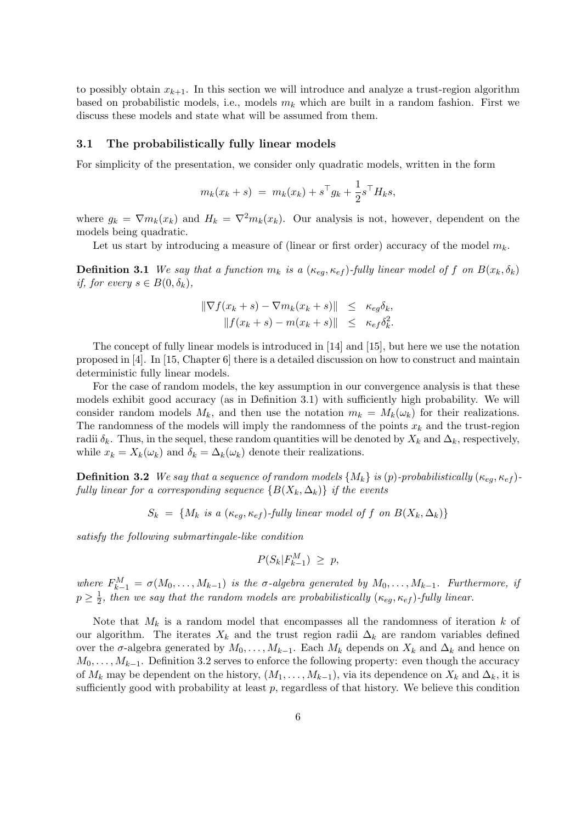to possibly obtain  $x_{k+1}$ . In this section we will introduce and analyze a trust-region algorithm based on probabilistic models, i.e., models  $m_k$  which are built in a random fashion. First we discuss these models and state what will be assumed from them.

#### 3.1 The probabilistically fully linear models

For simplicity of the presentation, we consider only quadratic models, written in the form

$$
m_k(x_k + s) = m_k(x_k) + s^{\top} g_k + \frac{1}{2} s^{\top} H_k s,
$$

where  $g_k = \nabla m_k(x_k)$  and  $H_k = \nabla^2 m_k(x_k)$ . Our analysis is not, however, dependent on the models being quadratic.

Let us start by introducing a measure of (linear or first order) accuracy of the model  $m_k$ .

**Definition 3.1** We say that a function  $m_k$  is a  $(\kappa_{ea}, \kappa_{ef})$ -fully linear model of f on  $B(x_k, \delta_k)$ if, for every  $s \in B(0, \delta_k)$ ,

$$
\begin{aligned} \|\nabla f(x_k + s) - \nabla m_k(x_k + s)\| &\leq \kappa_{eg} \delta_k, \\ \|f(x_k + s) - m(x_k + s)\| &\leq \kappa_{ef} \delta_k^2. \end{aligned}
$$

The concept of fully linear models is introduced in [14] and [15], but here we use the notation proposed in [4]. In [15, Chapter 6] there is a detailed discussion on how to construct and maintain deterministic fully linear models.

For the case of random models, the key assumption in our convergence analysis is that these models exhibit good accuracy (as in Definition 3.1) with sufficiently high probability. We will consider random models  $M_k$ , and then use the notation  $m_k = M_k(\omega_k)$  for their realizations. The randomness of the models will imply the randomness of the points  $x_k$  and the trust-region radii  $\delta_k$ . Thus, in the sequel, these random quantities will be denoted by  $X_k$  and  $\Delta_k$ , respectively, while  $x_k = X_k(\omega_k)$  and  $\delta_k = \Delta_k(\omega_k)$  denote their realizations.

**Definition 3.2** We say that a sequence of random models  $\{M_k\}$  is (p)-probabilistically ( $\kappa_{eq}, \kappa_{ef}$ )fully linear for a corresponding sequence  $\{B(X_k, \Delta_k)\}\$ if the events

 $S_k = \{M_k \text{ is a } (\kappa_{eq}, \kappa_{ef})\text{-fully linear model of } f \text{ on } B(X_k, \Delta_k) \}$ 

satisfy the following submartingale-like condition

$$
P(S_k|F_{k-1}^M) \ge p,
$$

where  $F_{k-1}^M = \sigma(M_0, \ldots, M_{k-1})$  is the  $\sigma$ -algebra generated by  $M_0, \ldots, M_{k-1}$ . Furthermore, if  $p \geq \frac{1}{2}$  $\frac{1}{2}$ , then we say that the random models are probabilistically  $(\kappa_{eg}, \kappa_{ef})$ -fully linear.

Note that  $M_k$  is a random model that encompasses all the randomness of iteration k of our algorithm. The iterates  $X_k$  and the trust region radii  $\Delta_k$  are random variables defined over the  $\sigma$ -algebra generated by  $M_0, \ldots, M_{k-1}$ . Each  $M_k$  depends on  $X_k$  and  $\Delta_k$  and hence on  $M_0, \ldots, M_{k-1}$ . Definition 3.2 serves to enforce the following property: even though the accuracy of  $M_k$  may be dependent on the history,  $(M_1, \ldots, M_{k-1})$ , via its dependence on  $X_k$  and  $\Delta_k$ , it is sufficiently good with probability at least  $p$ , regardless of that history. We believe this condition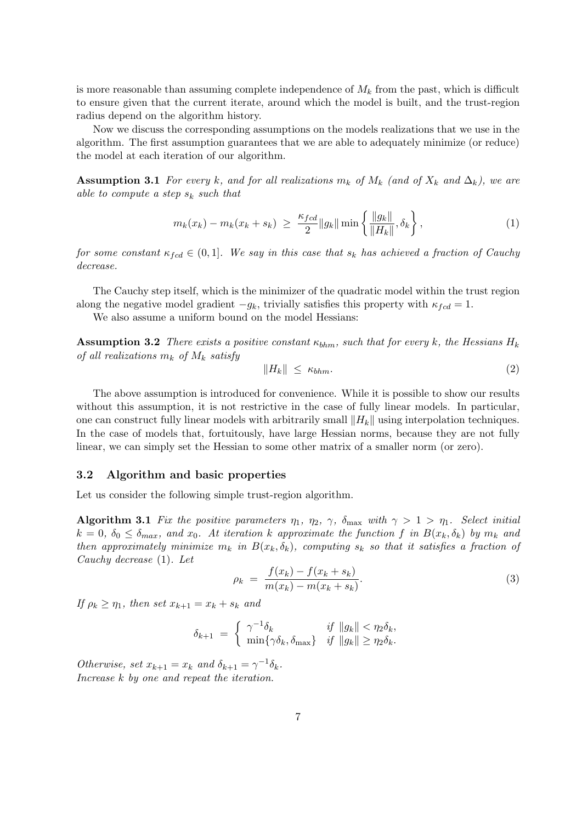is more reasonable than assuming complete independence of  $M_k$  from the past, which is difficult to ensure given that the current iterate, around which the model is built, and the trust-region radius depend on the algorithm history.

Now we discuss the corresponding assumptions on the models realizations that we use in the algorithm. The first assumption guarantees that we are able to adequately minimize (or reduce) the model at each iteration of our algorithm.

**Assumption 3.1** For every k, and for all realizations  $m_k$  of  $M_k$  (and of  $X_k$  and  $\Delta_k$ ), we are able to compute a step  $s_k$  such that

$$
m_k(x_k) - m_k(x_k + s_k) \ \geq \ \frac{\kappa_{fcd}}{2} \|g_k\| \min\left\{ \frac{\|g_k\|}{\|H_k\|}, \delta_k \right\},\tag{1}
$$

for some constant  $\kappa_{fcd} \in (0,1]$ . We say in this case that  $s_k$  has achieved a fraction of Cauchy decrease.

The Cauchy step itself, which is the minimizer of the quadratic model within the trust region along the negative model gradient  $-g_k$ , trivially satisfies this property with  $\kappa_{fcd} = 1$ .

We also assume a uniform bound on the model Hessians:

**Assumption 3.2** There exists a positive constant  $\kappa_{bhm}$ , such that for every k, the Hessians  $H_k$ of all realizations  $m_k$  of  $M_k$  satisfy

$$
||H_k|| \le \kappa_{bhm}.\tag{2}
$$

The above assumption is introduced for convenience. While it is possible to show our results without this assumption, it is not restrictive in the case of fully linear models. In particular, one can construct fully linear models with arbitrarily small  $||H_k||$  using interpolation techniques. In the case of models that, fortuitously, have large Hessian norms, because they are not fully linear, we can simply set the Hessian to some other matrix of a smaller norm (or zero).

#### 3.2 Algorithm and basic properties

Let us consider the following simple trust-region algorithm.

Algorithm 3.1 Fix the positive parameters  $\eta_1$ ,  $\eta_2$ ,  $\gamma$ ,  $\delta_{\text{max}}$  with  $\gamma > 1 > \eta_1$ . Select initial  $k = 0$ ,  $\delta_0 \leq \delta_{max}$ , and  $x_0$ . At iteration k approximate the function f in  $B(x_k, \delta_k)$  by  $m_k$  and then approximately minimize  $m_k$  in  $B(x_k, \delta_k)$ , computing  $s_k$  so that it satisfies a fraction of Cauchy decrease (1). Let

$$
\rho_k = \frac{f(x_k) - f(x_k + s_k)}{m(x_k) - m(x_k + s_k)}.
$$
\n(3)

If  $\rho_k \geq \eta_1$ , then set  $x_{k+1} = x_k + s_k$  and

$$
\delta_{k+1} = \begin{cases} \gamma^{-1}\delta_k & \text{if } \|g_k\| < \eta_2 \delta_k, \\ \min\{\gamma \delta_k, \delta_{\max}\} & \text{if } \|g_k\| \ge \eta_2 \delta_k. \end{cases}
$$

Otherwise, set  $x_{k+1} = x_k$  and  $\delta_{k+1} = \gamma^{-1} \delta_k$ . Increase k by one and repeat the iteration.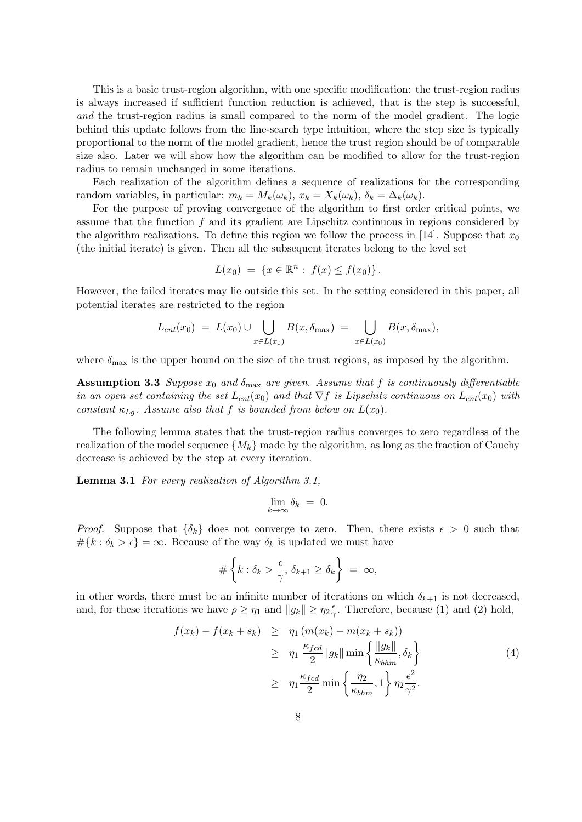This is a basic trust-region algorithm, with one specific modification: the trust-region radius is always increased if sufficient function reduction is achieved, that is the step is successful, and the trust-region radius is small compared to the norm of the model gradient. The logic behind this update follows from the line-search type intuition, where the step size is typically proportional to the norm of the model gradient, hence the trust region should be of comparable size also. Later we will show how the algorithm can be modified to allow for the trust-region radius to remain unchanged in some iterations.

Each realization of the algorithm defines a sequence of realizations for the corresponding random variables, in particular:  $m_k = M_k(\omega_k)$ ,  $x_k = X_k(\omega_k)$ ,  $\delta_k = \Delta_k(\omega_k)$ .

For the purpose of proving convergence of the algorithm to first order critical points, we assume that the function  $f$  and its gradient are Lipschitz continuous in regions considered by the algorithm realizations. To define this region we follow the process in [14]. Suppose that  $x_0$ (the initial iterate) is given. Then all the subsequent iterates belong to the level set

$$
L(x_0) = \{x \in \mathbb{R}^n : f(x) \le f(x_0)\}.
$$

However, the failed iterates may lie outside this set. In the setting considered in this paper, all potential iterates are restricted to the region

$$
L_{enl}(x_0) = L(x_0) \cup \bigcup_{x \in L(x_0)} B(x, \delta_{\max}) = \bigcup_{x \in L(x_0)} B(x, \delta_{\max}),
$$

where  $\delta_{\text{max}}$  is the upper bound on the size of the trust regions, as imposed by the algorithm.

**Assumption 3.3** Suppose  $x_0$  and  $\delta_{\text{max}}$  are given. Assume that f is continuously differentiable in an open set containing the set  $L_{enl}(x_0)$  and that  $\nabla f$  is Lipschitz continuous on  $L_{enl}(x_0)$  with constant  $\kappa_{Lq}$ . Assume also that f is bounded from below on  $L(x_0)$ .

The following lemma states that the trust-region radius converges to zero regardless of the realization of the model sequence  $\{M_k\}$  made by the algorithm, as long as the fraction of Cauchy decrease is achieved by the step at every iteration.

Lemma 3.1 For every realization of Algorithm 3.1,

$$
\lim_{k \to \infty} \delta_k = 0.
$$

*Proof.* Suppose that  $\{\delta_k\}$  does not converge to zero. Then, there exists  $\epsilon > 0$  such that  $\#\{k : \delta_k > \epsilon\} = \infty$ . Because of the way  $\delta_k$  is updated we must have

$$
\#\left\{k:\delta_k > \frac{\epsilon}{\gamma}, \,\delta_{k+1} \ge \delta_k\right\} \;=\; \infty,
$$

in other words, there must be an infinite number of iterations on which  $\delta_{k+1}$  is not decreased, and, for these iterations we have  $\rho \geq \eta_1$  and  $||g_k|| \geq \eta_2 \frac{\epsilon}{2}$  $\frac{\epsilon}{\gamma}$ . Therefore, because (1) and (2) hold,

$$
f(x_k) - f(x_k + s_k) \geq \eta_1 \left( m(x_k) - m(x_k + s_k) \right)
$$
  
\n
$$
\geq \eta_1 \frac{\kappa_{fcd}}{2} \|g_k\| \min \left\{ \frac{\|g_k\|}{\kappa_{bhm}}, \delta_k \right\}
$$
  
\n
$$
\geq \eta_1 \frac{\kappa_{fcd}}{2} \min \left\{ \frac{\eta_2}{\kappa_{bhm}}, 1 \right\} \eta_2 \frac{\epsilon^2}{\gamma^2}.
$$
 (4)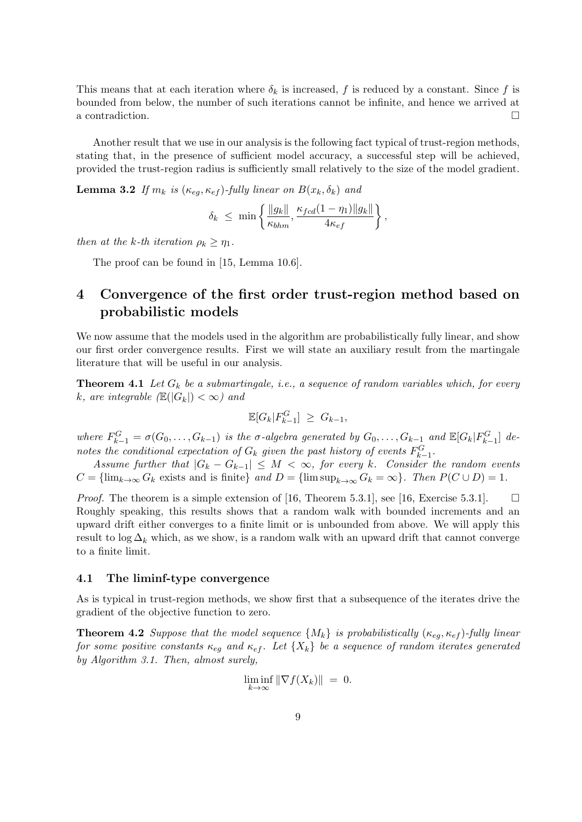This means that at each iteration where  $\delta_k$  is increased, f is reduced by a constant. Since f is bounded from below, the number of such iterations cannot be infinite, and hence we arrived at a contradiction.

Another result that we use in our analysis is the following fact typical of trust-region methods, stating that, in the presence of sufficient model accuracy, a successful step will be achieved, provided the trust-region radius is sufficiently small relatively to the size of the model gradient.

**Lemma 3.2** If  $m_k$  is  $(\kappa_{eq}, \kappa_{ef})$ -fully linear on  $B(x_k, \delta_k)$  and

$$
\delta_k \leq \min \left\{ \frac{\|g_k\|}{\kappa_{bhm}}, \frac{\kappa_{fcd}(1-\eta_1)\|g_k\|}{4\kappa_{ef}} \right\},\,
$$

then at the k-th iteration  $\rho_k \geq \eta_1$ .

The proof can be found in [15, Lemma 10.6].

# 4 Convergence of the first order trust-region method based on probabilistic models

We now assume that the models used in the algorithm are probabilistically fully linear, and show our first order convergence results. First we will state an auxiliary result from the martingale literature that will be useful in our analysis.

**Theorem 4.1** Let  $G_k$  be a submartingale, i.e., a sequence of random variables which, for every k, are integrable  $(\mathbb{E}(|G_k|) < \infty)$  and

$$
\mathbb{E}[G_k|F_{k-1}^G] \ge G_{k-1},
$$

where  $F_{k-1}^G = \sigma(G_0, \ldots, G_{k-1})$  is the  $\sigma$ -algebra generated by  $G_0, \ldots, G_{k-1}$  and  $\mathbb{E}[G_k|F_{k-1}^G]$  denotes the conditional expectation of  $G_k$  given the past history of events  $F_{k-1}^G$ .

Assume further that  $|G_k - G_{k-1}| \leq M < \infty$ , for every k. Consider the random events  $C = \{\lim_{k \to \infty} G_k \text{ exists and is finite}\}\$  and  $D = \{\limsup_{k \to \infty} G_k = \infty\}\$ . Then  $P(C \cup D) = 1$ .

*Proof.* The theorem is a simple extension of [16, Theorem 5.3.1], see [16, Exercise 5.3.1].  $\Box$ Roughly speaking, this results shows that a random walk with bounded increments and an upward drift either converges to a finite limit or is unbounded from above. We will apply this result to  $\log \Delta_k$  which, as we show, is a random walk with an upward drift that cannot converge to a finite limit.

#### 4.1 The liminf-type convergence

As is typical in trust-region methods, we show first that a subsequence of the iterates drive the gradient of the objective function to zero.

**Theorem 4.2** Suppose that the model sequence  $\{M_k\}$  is probabilistically  $(\kappa_{eg}, \kappa_{ef})$ -fully linear for some positive constants  $\kappa_{eq}$  and  $\kappa_{ef}$ . Let  $\{X_k\}$  be a sequence of random iterates generated by Algorithm 3.1. Then, almost surely,

$$
\liminf_{k \to \infty} \|\nabla f(X_k)\| = 0.
$$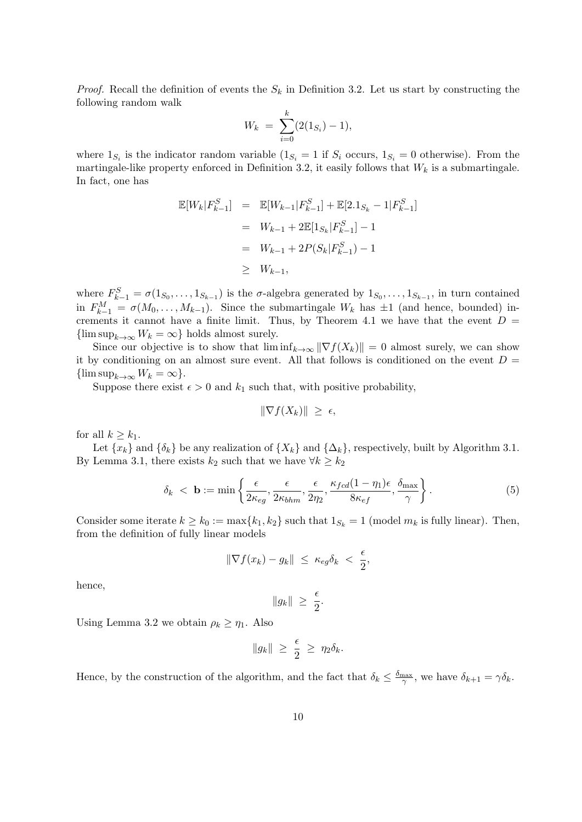*Proof.* Recall the definition of events the  $S_k$  in Definition 3.2. Let us start by constructing the following random walk

$$
W_k = \sum_{i=0}^k (2(1_{S_i}) - 1),
$$

where  $1_{S_i}$  is the indicator random variable  $(1_{S_i} = 1$  if  $S_i$  occurs,  $1_{S_i} = 0$  otherwise). From the martingale-like property enforced in Definition 3.2, it easily follows that  $W_k$  is a submartingale. In fact, one has

$$
\mathbb{E}[W_k|F_{k-1}^S] = \mathbb{E}[W_{k-1}|F_{k-1}^S] + \mathbb{E}[2.1_{S_k} - 1|F_{k-1}^S]
$$
  
=  $W_{k-1} + 2\mathbb{E}[1_{S_k}|F_{k-1}^S] - 1$   
=  $W_{k-1} + 2P(S_k|F_{k-1}^S) - 1$   
 $\geq W_{k-1},$ 

where  $F_{k-1}^S = \sigma(1_{S_0}, \ldots, 1_{S_{k-1}})$  is the  $\sigma$ -algebra generated by  $1_{S_0}, \ldots, 1_{S_{k-1}}$ , in turn contained in  $F_{k-1}^M = \sigma(M_0, \ldots, M_{k-1})$ . Since the submartingale  $W_k$  has  $\pm 1$  (and hence, bounded) increments it cannot have a finite limit. Thus, by Theorem 4.1 we have that the event  $D =$  ${\limsup}_{k\to\infty} W_k = \infty$  holds almost surely.

Since our objective is to show that  $\liminf_{k\to\infty} \|\nabla f(X_k)\| = 0$  almost surely, we can show it by conditioning on an almost sure event. All that follows is conditioned on the event  $D =$  $\{\limsup_{k\to\infty}W_k=\infty\}.$ 

Suppose there exist  $\epsilon > 0$  and  $k_1$  such that, with positive probability,

$$
\|\nabla f(X_k)\| \geq \epsilon,
$$

for all  $k \geq k_1$ .

Let  $\{x_k\}$  and  $\{\delta_k\}$  be any realization of  $\{X_k\}$  and  $\{\Delta_k\}$ , respectively, built by Algorithm 3.1. By Lemma 3.1, there exists  $k_2$  such that we have  $\forall k \geq k_2$ 

$$
\delta_k < \mathbf{b} := \min\left\{ \frac{\epsilon}{2\kappa_{eg}}, \frac{\epsilon}{2\kappa_{bhm}}, \frac{\epsilon}{2\eta_2}, \frac{\kappa_{fcd}(1-\eta_1)\epsilon}{8\kappa_{ef}}, \frac{\delta_{\max}}{\gamma} \right\}.
$$
\n<sup>(5)</sup>

Consider some iterate  $k \geq k_0 := \max\{k_1, k_2\}$  such that  $1_{S_k} = 1$  (model  $m_k$  is fully linear). Then, from the definition of fully linear models

$$
\|\nabla f(x_k) - g_k\| \ \leq \ \kappa_{eg} \delta_k \ < \ \frac{\epsilon}{2},
$$

hence,

$$
||g_k|| \ge \frac{\epsilon}{2}.
$$

Using Lemma 3.2 we obtain  $\rho_k \geq \eta_1$ . Also

$$
||g_k|| \geq \frac{\epsilon}{2} \geq \eta_2 \delta_k.
$$

Hence, by the construction of the algorithm, and the fact that  $\delta_k \leq \frac{\delta_{\max}}{\gamma}$ , we have  $\delta_{k+1} = \gamma \delta_k$ .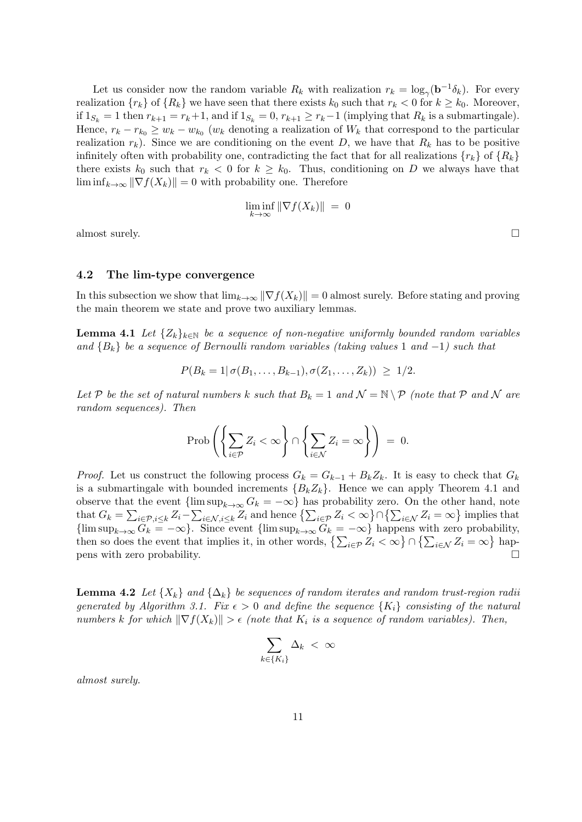Let us consider now the random variable  $R_k$  with realization  $r_k = \log_{\gamma}(\mathbf{b}^{-1}\delta_k)$ . For every realization  $\{r_k\}$  of  $\{R_k\}$  we have seen that there exists  $k_0$  such that  $r_k < 0$  for  $k \geq k_0$ . Moreover, if  $1_{S_k} = 1$  then  $r_{k+1} = r_k+1$ , and if  $1_{S_k} = 0$ ,  $r_{k+1} \ge r_k-1$  (implying that  $R_k$  is a submartingale). Hence,  $r_k - r_{k_0} \ge w_k - w_{k_0}$  ( $w_k$  denoting a realization of  $W_k$  that correspond to the particular realization  $r_k$ ). Since we are conditioning on the event D, we have that  $R_k$  has to be positive infinitely often with probability one, contradicting the fact that for all realizations  $\{r_k\}$  of  $\{R_k\}$ there exists  $k_0$  such that  $r_k < 0$  for  $k \geq k_0$ . Thus, conditioning on D we always have that  $\liminf_{k\to\infty} \|\nabla f(X_k)\| = 0$  with probability one. Therefore

$$
\liminf_{k \to \infty} \|\nabla f(X_k)\| = 0
$$

almost surely.  $\Box$ 

#### 4.2 The lim-type convergence

In this subsection we show that  $\lim_{k\to\infty} \|\nabla f(X_k)\| = 0$  almost surely. Before stating and proving the main theorem we state and prove two auxiliary lemmas.

**Lemma 4.1** Let  $\{Z_k\}_{k\in\mathbb{N}}$  be a sequence of non-negative uniformly bounded random variables and  ${B_k}$  be a sequence of Bernoulli random variables (taking values 1 and -1) such that

$$
P(B_k = 1 | \sigma(B_1, \ldots, B_{k-1}), \sigma(Z_1, \ldots, Z_k)) \geq 1/2.
$$

Let P be the set of natural numbers k such that  $B_k = 1$  and  $\mathcal{N} = \mathbb{N} \setminus \mathcal{P}$  (note that P and N are random sequences). Then

$$
\operatorname{Prob}\left(\left\{\sum_{i\in\mathcal{P}}Z_i<\infty\right\}\cap\left\{\sum_{i\in\mathcal{N}}Z_i=\infty\right\}\right)\ =\ 0.
$$

*Proof.* Let us construct the following process  $G_k = G_{k-1} + B_k Z_k$ . It is easy to check that  $G_k$ is a submartingale with bounded increments  ${B_k Z_k}$ . Hence we can apply Theorem 4.1 and observe that the event  ${\{\limsup_{k\to\infty} G_k = -\infty\}}$  has probability zero. On the other hand, note that  $G_k = \sum_{i \in \mathcal{P}, i \leq k} Z_i - \sum_{i \in \mathcal{N}, i \leq k} Z_i$  and hence  $\left\{ \sum_{i \in \mathcal{P}} Z_i < \infty \right\} \cap \left\{ \sum_{i \in \mathcal{N}} Z_i = \infty \right\}$  implies that  ${\limsup}_{k\to\infty} G_k = -\infty$ . Since event  ${\limsup}_{k\to\infty} G_k = -\infty$  happens with zero probability, then so does the event that implies it, in other words,  $\{\sum_{i\in\mathcal{P}} Z_i < \infty\} \cap \{\sum_{i\in\mathcal{N}} Z_i = \infty\}$  hap $p$ ens with zero probability.

**Lemma 4.2** Let  $\{X_k\}$  and  $\{\Delta_k\}$  be sequences of random iterates and random trust-region radii generated by Algorithm 3.1. Fix  $\epsilon > 0$  and define the sequence  $\{K_i\}$  consisting of the natural numbers k for which  $\|\nabla f(X_k)\| > \epsilon$  (note that  $K_i$  is a sequence of random variables). Then,

$$
\sum_{k \in \{K_i\}} \Delta_k \, < \, \infty
$$

almost surely.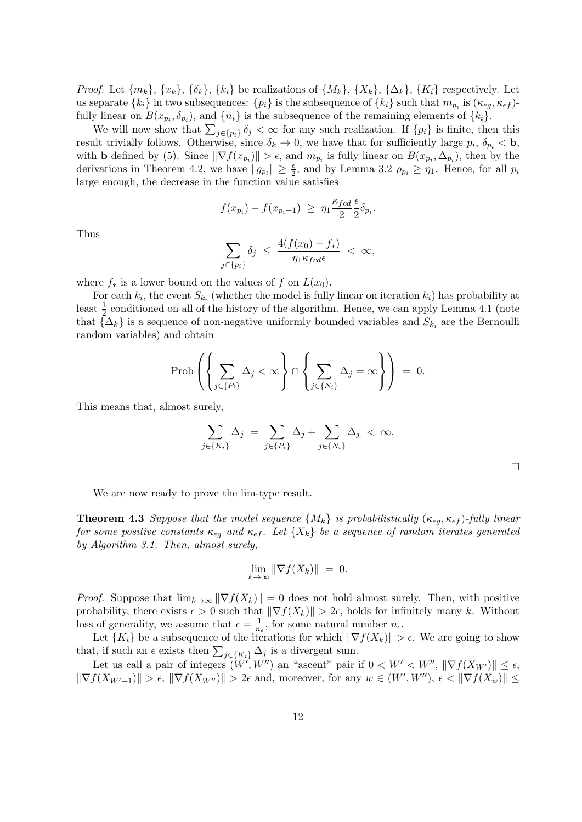*Proof.* Let  $\{m_k\}$ ,  $\{x_k\}$ ,  $\{\delta_k\}$ ,  $\{k_i\}$  be realizations of  $\{M_k\}$ ,  $\{X_k\}$ ,  $\{\Delta_k\}$ ,  $\{K_i\}$  respectively. Let us separate  $\{k_i\}$  in two subsequences:  $\{p_i\}$  is the subsequence of  $\{k_i\}$  such that  $m_{p_i}$  is  $(\kappa_{eg}, \kappa_{ef})$ fully linear on  $B(x_{p_i}, \delta_{p_i})$ , and  $\{n_i\}$  is the subsequence of the remaining elements of  $\{k_i\}$ .

We will now show that  $\sum_{j\in\{p_i\}} \delta_j < \infty$  for any such realization. If  $\{p_i\}$  is finite, then this result trivially follows. Otherwise, since  $\delta_k \to 0$ , we have that for sufficiently large  $p_i$ ,  $\delta_{p_i} < \mathbf{b}$ , with **b** defined by (5). Since  $\|\nabla f(x_{p_i})\| > \epsilon$ , and  $m_{p_i}$  is fully linear on  $B(x_{p_i}, \Delta_{p_i})$ , then by the derivations in Theorem 4.2, we have  $||g_{p_i}|| \geq \frac{\epsilon}{2}$ , and by Lemma 3.2  $\rho_{p_i} \geq \eta_1$ . Hence, for all  $p_i$ large enough, the decrease in the function value satisfies

$$
f(x_{p_i}) - f(x_{p_i+1}) \ge \eta_1 \frac{\kappa_{fcd}}{2} \frac{\epsilon}{2} \delta_{p_i}.
$$

Thus

$$
\sum_{j\in\{p_i\}}\delta_j \ \leq \ \frac{4(f(x_0)-f_*)}{\eta_1\kappa_{fcd}\epsilon} \ < \ \infty,
$$

where  $f_*$  is a lower bound on the values of f on  $L(x_0)$ .

For each  $k_i$ , the event  $S_{k_i}$  (whether the model is fully linear on iteration  $k_i$ ) has probability at least  $\frac{1}{2}$  conditioned on all of the history of the algorithm. Hence, we can apply Lemma 4.1 (note that  $\{\Delta_k\}$  is a sequence of non-negative uniformly bounded variables and  $S_{k_i}$  are the Bernoulli random variables) and obtain

$$
\operatorname{Prob}\left(\left\{\sum_{j\in\{P_i\}}\Delta_j<\infty\right\}\cap\left\{\sum_{j\in\{N_i\}}\Delta_j<\infty\right\}\right)\ =\ 0.
$$

This means that, almost surely,

$$
\sum_{j \in \{K_i\}} \Delta_j = \sum_{j \in \{P_i\}} \Delta_j + \sum_{j \in \{N_i\}} \Delta_j < \infty.
$$

We are now ready to prove the lim-type result.

**Theorem 4.3** Suppose that the model sequence  $\{M_k\}$  is probabilistically  $(\kappa_{eq}, \kappa_{ef})$ -fully linear for some positive constants  $\kappa_{eq}$  and  $\kappa_{ef}$ . Let  $\{X_k\}$  be a sequence of random iterates generated by Algorithm 3.1. Then, almost surely,

$$
\lim_{k \to \infty} \|\nabla f(X_k)\| = 0.
$$

*Proof.* Suppose that  $\lim_{k\to\infty} \|\nabla f(X_k)\| = 0$  does not hold almost surely. Then, with positive probability, there exists  $\epsilon > 0$  such that  $\|\nabla f(X_k)\| > 2\epsilon$ , holds for infinitely many k. Without loss of generality, we assume that  $\epsilon = \frac{1}{n}$  $\frac{1}{n_{\epsilon}}$ , for some natural number  $n_{\epsilon}$ .

Let  $\{K_i\}$  be a subsequence of the iterations for which  $\|\nabla f(X_k)\| > \epsilon$ . We are going to show that, if such an  $\epsilon$  exists then  $\sum_{j\in\{K_i\}} \Delta_j$  is a divergent sum.

Let us call a pair of integers  $(W', W'')$  an "ascent" pair if  $0 < W' < W''$ ,  $\|\nabla f(X_{W'})\| \leq \epsilon$ ,  $\|\nabla f(X_{W'+1})\| > \epsilon, \|\nabla f(X_{W''})\| > 2\epsilon$  and, moreover, for any  $w \in (W', W'')$ ,  $\epsilon < \|\nabla f(X_w)\| \le$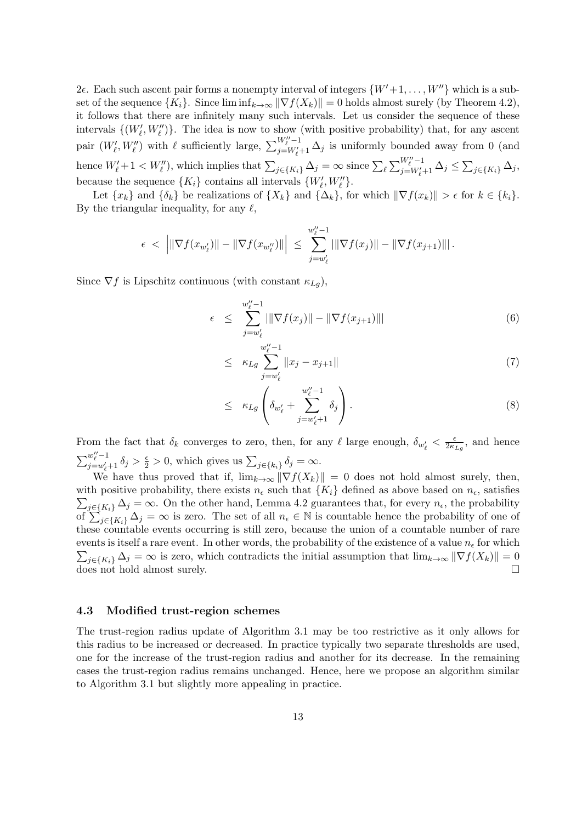$2\epsilon$ . Each such ascent pair forms a nonempty interval of integers  $\{W'+1,\ldots,W''\}$  which is a subset of the sequence  $\{K_i\}$ . Since  $\liminf_{k\to\infty} \|\nabla f(X_k)\| = 0$  holds almost surely (by Theorem 4.2), it follows that there are infinitely many such intervals. Let us consider the sequence of these intervals  $\{(W'_\ell, W''_\ell)\}\.$  The idea is now to show (with positive probability) that, for any ascent pair  $(W'_{\ell}, W''_{\ell})$  with  $\ell$  sufficiently large,  $\sum_{j=W'_{\ell}}^{W''_{\ell}-1}$  $\sum_{j=W'_{\ell}-1}^{W_{\ell}-1} \Delta_j$  is uniformly bounded away from 0 (and hence  $W'_\ell + 1 < W''_\ell$ , which implies that  $\sum_{j \in \{K_i\}} \Delta_j = \infty$  since  $\sum_{\ell} \sum_{j=W'_\ell}^{W''_\ell - 1}$  $\sum_{j=W'_{\ell}+1}^{W_{\ell}-1} \Delta_j \leq \sum_{j\in\{K_i\}} \Delta_j,$ because the sequence  $\{K_i\}$  contains all intervals  $\{W'_\ell, W''_\ell\}.$ 

Let  $\{x_k\}$  and  $\{\delta_k\}$  be realizations of  $\{X_k\}$  and  $\{\Delta_k\}$ , for which  $\|\nabla f(x_k)\| > \epsilon$  for  $k \in \{k_i\}$ . By the triangular inequality, for any  $\ell$ ,

$$
\epsilon \ < \ \left| \|\nabla f(x_{w'_\ell})\| - \|\nabla f(x_{w''_\ell})\| \right| \ \leq \ \sum_{j=w'_\ell}^{w''_\ell-1} \left| \|\nabla f(x_j)\| - \|\nabla f(x_{j+1})\| \right|.
$$

Since  $\nabla f$  is Lipschitz continuous (with constant  $\kappa_{Lg}$ ),

$$
\epsilon \leq \sum_{j=w'_{\ell}}^{w''_{\ell}-1} \|\nabla f(x_j)\| - \|\nabla f(x_{j+1})\|\| \tag{6}
$$

$$
\leq \kappa_{Lg} \sum_{j=w'_{\ell}}^{w_{\ell}''-1} \|x_j - x_{j+1}\| \tag{7}
$$

$$
\leq \kappa_{Lg} \left( \delta_{w'_\ell} + \sum_{j=w'_\ell+1}^{w''_\ell-1} \delta_j \right). \tag{8}
$$

From the fact that  $\delta_k$  converges to zero, then, for any  $\ell$  large enough,  $\delta_{w'_\ell} < \frac{\epsilon}{2\kappa}$  $\frac{\epsilon}{2\kappa_{Lg}}$ , and hence  $\sum_{i=-\infty}^{w''-1}$  $\frac{w_i - 1}{j = w_i + 1} \delta_j > \frac{\epsilon}{2} > 0$ , which gives us  $\sum_{j \in \{k_i\}} \delta_j = \infty$ .

We have thus proved that if,  $\lim_{k\to\infty} \|\nabla f(X_k)\| = 0$  does not hold almost surely, then, with positive probability, there exists  $n_{\epsilon}$  such that  $\{K_i\}$  defined as above based on  $n_{\epsilon}$ , satisfies  $\sum_{j\in\{K_i\}}\Delta_j=\infty$ . On the other hand, Lemma 4.2 guarantees that, for every  $n_{\epsilon}$ , the probability of  $\sum_{j\in\{K_i\}}^{\infty} \Delta_j = \infty$  is zero. The set of all  $n_{\epsilon} \in \mathbb{N}$  is countable hence the probability of one of these countable events occurring is still zero, because the union of a countable number of rare events is itself a rare event. In other words, the probability of the existence of a value  $n_{\epsilon}$  for which  $\sum_{j\in\{K_i\}} \Delta_j = \infty$  is zero, which contradicts the initial assumption that  $\lim_{k\to\infty} ||\nabla f(X_k)|| = 0$ does not hold almost surely.

#### 4.3 Modified trust-region schemes

The trust-region radius update of Algorithm 3.1 may be too restrictive as it only allows for this radius to be increased or decreased. In practice typically two separate thresholds are used, one for the increase of the trust-region radius and another for its decrease. In the remaining cases the trust-region radius remains unchanged. Hence, here we propose an algorithm similar to Algorithm 3.1 but slightly more appealing in practice.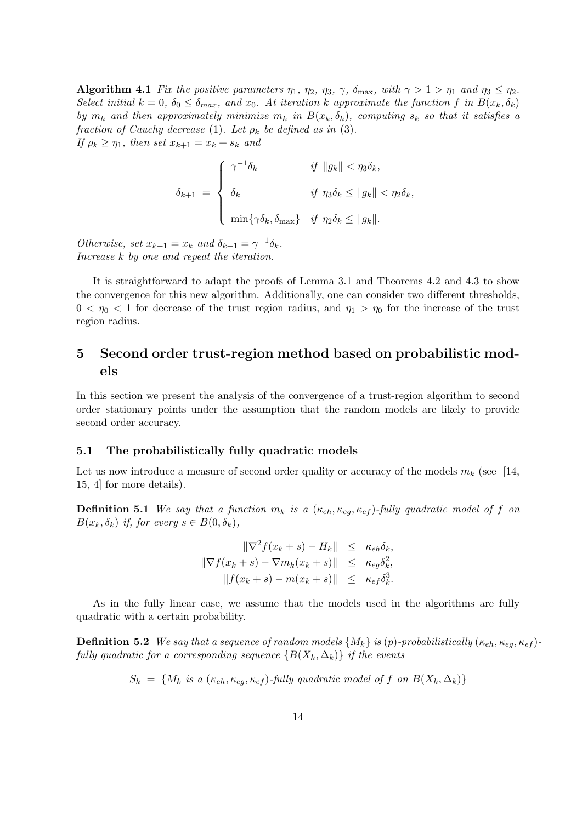Algorithm 4.1 Fix the positive parameters  $\eta_1$ ,  $\eta_2$ ,  $\eta_3$ ,  $\gamma$ ,  $\delta_{\text{max}}$ , with  $\gamma > 1 > \eta_1$  and  $\eta_3 \leq \eta_2$ . Select initial  $k = 0$ ,  $\delta_0 \leq \delta_{max}$ , and  $x_0$ . At iteration k approximate the function f in  $B(x_k, \delta_k)$ by  $m_k$  and then approximately minimize  $m_k$  in  $B(x_k, \delta_k)$ , computing  $s_k$  so that it satisfies a fraction of Cauchy decrease (1). Let  $\rho_k$  be defined as in (3). If  $\rho_k \geq \eta_1$ , then set  $x_{k+1} = x_k + s_k$  and

$$
\delta_{k+1} = \begin{cases}\n\gamma^{-1}\delta_k & \text{if } \|g_k\| < \eta_3 \delta_k, \\
\delta_k & \text{if } \eta_3 \delta_k \le \|g_k\| < \eta_2 \delta_k, \\
\min\{\gamma \delta_k, \delta_{\max}\} & \text{if } \eta_2 \delta_k \le \|g_k\|.\n\end{cases}
$$

Otherwise, set  $x_{k+1} = x_k$  and  $\delta_{k+1} = \gamma^{-1} \delta_k$ . Increase k by one and repeat the iteration.

It is straightforward to adapt the proofs of Lemma 3.1 and Theorems 4.2 and 4.3 to show the convergence for this new algorithm. Additionally, one can consider two different thresholds,  $0 < \eta_0 < 1$  for decrease of the trust region radius, and  $\eta_1 > \eta_0$  for the increase of the trust region radius.

# 5 Second order trust-region method based on probabilistic models

In this section we present the analysis of the convergence of a trust-region algorithm to second order stationary points under the assumption that the random models are likely to provide second order accuracy.

#### 5.1 The probabilistically fully quadratic models

Let us now introduce a measure of second order quality or accuracy of the models  $m_k$  (see [14, 15, 4] for more details).

**Definition 5.1** We say that a function  $m_k$  is a  $(\kappa_{eh}, \kappa_{eq}, \kappa_{ef})$ -fully quadratic model of f on  $B(x_k, \delta_k)$  if, for every  $s \in B(0, \delta_k)$ ,

> $\|\nabla^2 f(x_k + s) - H_k\| \leq \kappa_{eh} \delta_k,$  $\|\nabla f(x_k + s) - \nabla m_k(x_k + s)\| \leq \kappa_{eg} \delta_k^2,$  $||f(x_k + s) - m(x_k + s)|| \leq \kappa_{ef} \delta_k^3$ .

As in the fully linear case, we assume that the models used in the algorithms are fully quadratic with a certain probability.

**Definition 5.2** We say that a sequence of random models  $\{M_k\}$  is (p)-probabilistically  $(\kappa_{eh}, \kappa_{eq}, \kappa_{ef})$ fully quadratic for a corresponding sequence  $\{B(X_k, \Delta_k)\}\$ if the events

$$
S_k = \{M_k \text{ is a } (\kappa_{eh}, \kappa_{eg}, \kappa_{ef})\text{-fully quadratic model of } f \text{ on } B(X_k, \Delta_k)\}\
$$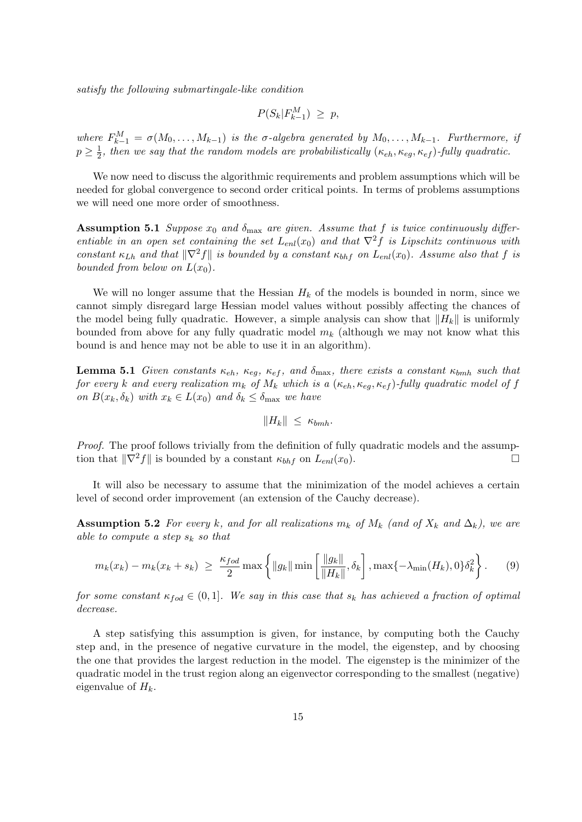satisfy the following submartingale-like condition

$$
P(S_k|F_{k-1}^M) \ge p,
$$

where  $F_{k-1}^M = \sigma(M_0, \ldots, M_{k-1})$  is the  $\sigma$ -algebra generated by  $M_0, \ldots, M_{k-1}$ . Furthermore, if  $p \geq \frac{1}{2}$  $\frac{1}{2}$ , then we say that the random models are probabilistically  $(\kappa_{eh}, \kappa_{eg}, \kappa_{ef})$ -fully quadratic.

We now need to discuss the algorithmic requirements and problem assumptions which will be needed for global convergence to second order critical points. In terms of problems assumptions we will need one more order of smoothness.

**Assumption 5.1** Suppose  $x_0$  and  $\delta_{\text{max}}$  are given. Assume that f is twice continuously differentiable in an open set containing the set  $L_{enl}(x_0)$  and that  $\nabla^2 f$  is Lipschitz continuous with constant  $\kappa_{Lh}$  and that  $\|\nabla^2 f\|$  is bounded by a constant  $\kappa_{bhf}$  on  $L_{enl}(x_0)$ . Assume also that f is bounded from below on  $L(x_0)$ .

We will no longer assume that the Hessian  $H_k$  of the models is bounded in norm, since we cannot simply disregard large Hessian model values without possibly affecting the chances of the model being fully quadratic. However, a simple analysis can show that  $||H_k||$  is uniformly bounded from above for any fully quadratic model  $m_k$  (although we may not know what this bound is and hence may not be able to use it in an algorithm).

**Lemma 5.1** Given constants  $\kappa_{eh}$ ,  $\kappa_{eq}$ ,  $\kappa_{ef}$ , and  $\delta_{\text{max}}$ , there exists a constant  $\kappa_{bmh}$  such that for every k and every realization  $m_k$  of  $M_k$  which is a  $(\kappa_{eh}, \kappa_{eg}, \kappa_{ef})$ -fully quadratic model of f on  $B(x_k, \delta_k)$  with  $x_k \in L(x_0)$  and  $\delta_k \leq \delta_{\text{max}}$  we have

$$
||H_k|| \leq \kappa_{bmh}.
$$

Proof. The proof follows trivially from the definition of fully quadratic models and the assumption that  $\|\nabla^2 f\|$  is bounded by a constant  $\kappa_{bhf}$  on  $L_{enl}(x_0)$ .

It will also be necessary to assume that the minimization of the model achieves a certain level of second order improvement (an extension of the Cauchy decrease).

**Assumption 5.2** For every k, and for all realizations  $m_k$  of  $M_k$  (and of  $X_k$  and  $\Delta_k$ ), we are able to compute a step  $s_k$  so that

$$
m_k(x_k) - m_k(x_k + s_k) \ge \frac{\kappa_{fod}}{2} \max \left\{ \|g_k\| \min \left[ \frac{\|g_k\|}{\|H_k\|}, \delta_k \right], \max \{-\lambda_{\min}(H_k), 0\} \delta_k^2 \right\}.
$$
 (9)

for some constant  $\kappa_{fod} \in (0,1]$ . We say in this case that  $s_k$  has achieved a fraction of optimal decrease.

A step satisfying this assumption is given, for instance, by computing both the Cauchy step and, in the presence of negative curvature in the model, the eigenstep, and by choosing the one that provides the largest reduction in the model. The eigenstep is the minimizer of the quadratic model in the trust region along an eigenvector corresponding to the smallest (negative) eigenvalue of  $H_k$ .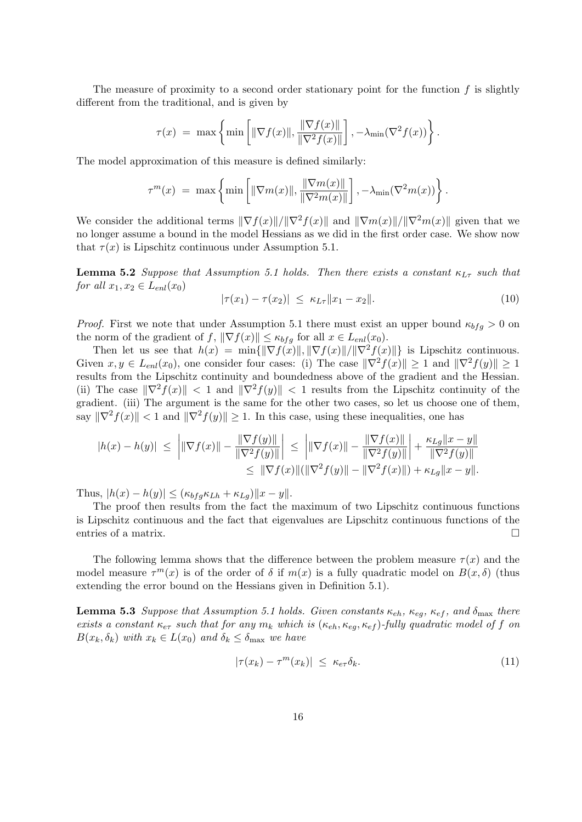The measure of proximity to a second order stationary point for the function  $f$  is slightly different from the traditional, and is given by

$$
\tau(x) = \max \left\{ \min \left[ \|\nabla f(x)\|, \frac{\|\nabla f(x)\|}{\|\nabla^2 f(x)\|} \right], -\lambda_{\min}(\nabla^2 f(x)) \right\}.
$$

The model approximation of this measure is defined similarly:

$$
\tau^m(x) = \max \left\{ \min \left[ \|\nabla m(x)\|, \frac{\|\nabla m(x)\|}{\|\nabla^2 m(x)\|} \right], -\lambda_{\min}(\nabla^2 m(x)) \right\}.
$$

We consider the additional terms  $\|\nabla f(x)\|/\|\nabla^2 f(x)\|$  and  $\|\nabla m(x)\|/\|\nabla^2 m(x)\|$  given that we no longer assume a bound in the model Hessians as we did in the first order case. We show now that  $\tau(x)$  is Lipschitz continuous under Assumption 5.1.

**Lemma 5.2** Suppose that Assumption 5.1 holds. Then there exists a constant  $\kappa_{L\tau}$  such that for all  $x_1, x_2 \in L_{enl}(x_0)$ 

$$
|\tau(x_1) - \tau(x_2)| \le \kappa_{L\tau} \|x_1 - x_2\|.
$$
 (10)

*Proof.* First we note that under Assumption 5.1 there must exist an upper bound  $\kappa_{bfg} > 0$  on the norm of the gradient of f,  $\|\nabla f(x)\| \leq \kappa_{bfg}$  for all  $x \in L_{enl}(x_0)$ .

Then let us see that  $h(x) = \min\{\|\nabla f(x)\|, \|\nabla f(x)\|/\|\nabla^2 f(x)\|\}\$ is Lipschitz continuous. Given  $x, y \in L_{en}(x_0)$ , one consider four cases: (i) The case  $\|\nabla^2 f(x)\| \geq 1$  and  $\|\nabla^2 f(y)\| \geq 1$ results from the Lipschitz continuity and boundedness above of the gradient and the Hessian. (ii) The case  $\|\nabla^2 f(x)\| < 1$  and  $\|\nabla^2 f(y)\| < 1$  results from the Lipschitz continuity of the gradient. (iii) The argument is the same for the other two cases, so let us choose one of them, say  $\|\nabla^2 f(x)\| < 1$  and  $\|\nabla^2 f(y)\| > 1$ . In this case, using these inequalities, one has

$$
|h(x) - h(y)| \leq \left| \|\nabla f(x)\| - \frac{\|\nabla f(y)\|}{\|\nabla^2 f(y)\|} \right| \leq \left| \|\nabla f(x)\| - \frac{\|\nabla f(x)\|}{\|\nabla^2 f(y)\|} \right| + \frac{\kappa_{Lg} \|x - y\|}{\|\nabla^2 f(y)\|} \leq \|\nabla f(x)\| (\|\nabla^2 f(y)\| - \|\nabla^2 f(x)\|) + \kappa_{Lg} \|x - y\|.
$$

Thus,  $|h(x) - h(y)| \leq (\kappa_{bfq} \kappa_{Lh} + \kappa_{Lq}) ||x - y||.$ 

The proof then results from the fact the maximum of two Lipschitz continuous functions is Lipschitz continuous and the fact that eigenvalues are Lipschitz continuous functions of the entries of a matrix.

The following lemma shows that the difference between the problem measure  $\tau(x)$  and the model measure  $\tau^{m}(x)$  is of the order of  $\delta$  if  $m(x)$  is a fully quadratic model on  $B(x,\delta)$  (thus extending the error bound on the Hessians given in Definition 5.1).

**Lemma 5.3** Suppose that Assumption 5.1 holds. Given constants  $\kappa_{eh}$ ,  $\kappa_{eg}$ ,  $\kappa_{ef}$ , and  $\delta_{\text{max}}$  there exists a constant  $\kappa_{e\tau}$  such that for any  $m_k$  which is  $(\kappa_{eh}, \kappa_{eq}, \kappa_{ef})$ -fully quadratic model of f on  $B(x_k, \delta_k)$  with  $x_k \in L(x_0)$  and  $\delta_k \leq \delta_{\text{max}}$  we have

$$
|\tau(x_k) - \tau^m(x_k)| \le \kappa_{e\tau} \delta_k. \tag{11}
$$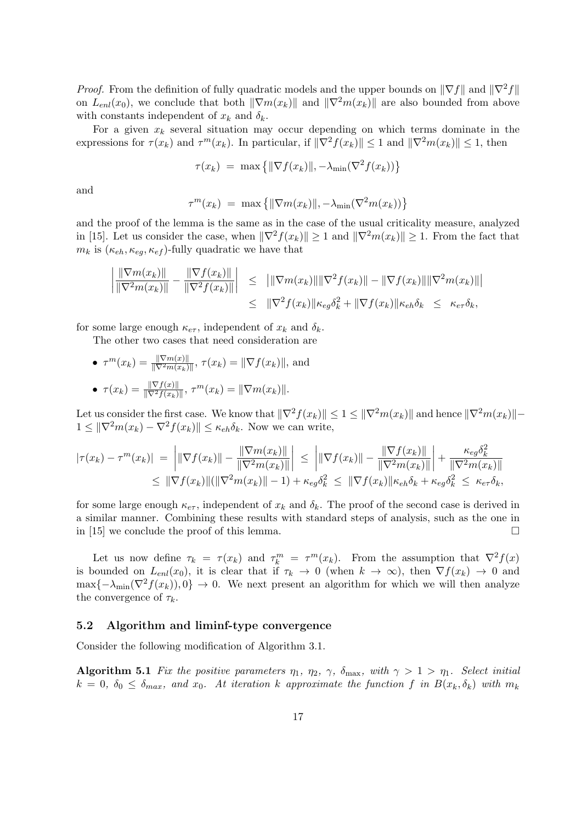*Proof.* From the definition of fully quadratic models and the upper bounds on  $\|\nabla f\|$  and  $\|\nabla^2 f\|$ on  $L_{enl}(x_0)$ , we conclude that both  $\|\nabla m(x_k)\|$  and  $\|\nabla^2 m(x_k)\|$  are also bounded from above with constants independent of  $x_k$  and  $\delta_k$ .

For a given  $x_k$  several situation may occur depending on which terms dominate in the expressions for  $\tau(x_k)$  and  $\tau^m(x_k)$ . In particular, if  $\|\nabla^2 f(x_k)\| \leq 1$  and  $\|\nabla^2 m(x_k)\| \leq 1$ , then

$$
\tau(x_k) = \max \{ ||\nabla f(x_k)||, -\lambda_{\min}(\nabla^2 f(x_k)) \}
$$

and

$$
\tau^m(x_k) = \max \{ ||\nabla m(x_k)||, -\lambda_{\min}(\nabla^2 m(x_k)) \}
$$

and the proof of the lemma is the same as in the case of the usual criticality measure, analyzed in [15]. Let us consider the case, when  $\|\nabla^2 f(x_k)\| \geq 1$  and  $\|\nabla^2 m(x_k)\| \geq 1$ . From the fact that  $m_k$  is  $(\kappa_{eh}, \kappa_{eg}, \kappa_{ef})$ -fully quadratic we have that

$$
\left| \frac{\|\nabla m(x_k)\|}{\|\nabla^2 m(x_k)\|} - \frac{\|\nabla f(x_k)\|}{\|\nabla^2 f(x_k)\|} \right| \leq \| \|\nabla m(x_k)\| \|\nabla^2 f(x_k)\| - \|\nabla f(x_k)\| \|\nabla^2 m(x_k)\| \leq \| \nabla^2 f(x_k)\| \kappa_{eg} \delta_k^2 + \| \nabla f(x_k)\| \kappa_{eh} \delta_k \leq \kappa_{e\tau} \delta_k,
$$

for some large enough  $\kappa_{e\tau}$ , independent of  $x_k$  and  $\delta_k$ .

The other two cases that need consideration are

• 
$$
\tau^m(x_k) = \frac{\|\nabla m(x)\|}{\|\nabla^2 m(x_k)\|}, \ \tau(x_k) = \|\nabla f(x_k)\|
$$
, and  
\n•  $\tau(x_k) = \frac{\|\nabla f(x)\|}{\|\nabla^2 f(x_k)\|}, \ \tau^m(x_k) = \|\nabla m(x_k)\|$ .

Let us consider the first case. We know that  $\|\nabla^2 f(x_k)\| \leq 1 \leq \|\nabla^2 m(x_k)\|$  and hence  $\|\nabla^2 m(x_k)\|$ −  $1 \leq \|\nabla^2 m(x_k) - \nabla^2 f(x_k)\| \leq \kappa_{eh} \delta_k$ . Now we can write,

$$
|\tau(x_k) - \tau^m(x_k)| = \left| \|\nabla f(x_k)\| - \frac{\|\nabla m(x_k)\|}{\|\nabla^2 m(x_k)\|} \right| \le \left| \|\nabla f(x_k)\| - \frac{\|\nabla f(x_k)\|}{\|\nabla^2 m(x_k)\|} \right| + \frac{\kappa_{eg} \delta_k^2}{\|\nabla^2 m(x_k)\|} \le \|\nabla f(x_k)\| (\|\nabla^2 m(x_k)\| - 1) + \kappa_{eg} \delta_k^2 \le \|\nabla f(x_k)\| \kappa_{eh} \delta_k + \kappa_{eg} \delta_k^2 \le \kappa_{er} \delta_k,
$$

for some large enough  $\kappa_{e\tau}$ , independent of  $x_k$  and  $\delta_k$ . The proof of the second case is derived in a similar manner. Combining these results with standard steps of analysis, such as the one in in [15] we conclude the proof of this lemma.

Let us now define  $\tau_k = \tau(x_k)$  and  $\tau_k^m = \tau^m(x_k)$ . From the assumption that  $\nabla^2 f(x)$ is bounded on  $L_{enl}(x_0)$ , it is clear that if  $\tau_k \to 0$  (when  $k \to \infty$ ), then  $\nabla f(x_k) \to 0$  and  $\max\{-\lambda_{\min}(\nabla^2 f(x_k)), 0\} \to 0$ . We next present an algorithm for which we will then analyze the convergence of  $\tau_k$ .

#### 5.2 Algorithm and liminf-type convergence

Consider the following modification of Algorithm 3.1.

**Algorithm 5.1** Fix the positive parameters  $\eta_1$ ,  $\eta_2$ ,  $\gamma$ ,  $\delta_{\text{max}}$ , with  $\gamma > 1 > \eta_1$ . Select initial  $k = 0, \delta_0 \leq \delta_{max}$ , and  $x_0$ . At iteration k approximate the function f in  $B(x_k, \delta_k)$  with  $m_k$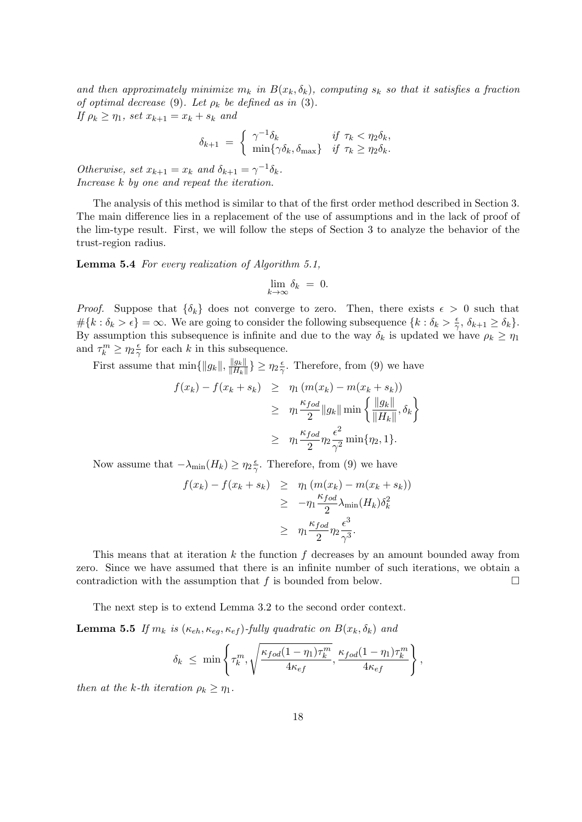and then approximately minimize  $m_k$  in  $B(x_k, \delta_k)$ , computing  $s_k$  so that it satisfies a fraction of optimal decrease (9). Let  $\rho_k$  be defined as in (3). If  $\rho_k \geq \eta_1$ , set  $x_{k+1} = x_k + s_k$  and

$$
\delta_{k+1} = \begin{cases} \gamma^{-1}\delta_k & \text{if } \tau_k < \eta_2 \delta_k, \\ \min\{\gamma \delta_k, \delta_{\max}\} & \text{if } \tau_k \ge \eta_2 \delta_k. \end{cases}
$$

Otherwise, set  $x_{k+1} = x_k$  and  $\delta_{k+1} = \gamma^{-1} \delta_k$ . Increase k by one and repeat the iteration.

The analysis of this method is similar to that of the first order method described in Section 3. The main difference lies in a replacement of the use of assumptions and in the lack of proof of the lim-type result. First, we will follow the steps of Section 3 to analyze the behavior of the trust-region radius.

Lemma 5.4 For every realization of Algorithm 5.1,

$$
\lim_{k \to \infty} \delta_k = 0.
$$

*Proof.* Suppose that  $\{\delta_k\}$  does not converge to zero. Then, there exists  $\epsilon > 0$  such that  $\#\{k : \delta_k > \epsilon\} = \infty$ . We are going to consider the following subsequence  $\{k : \delta_k > \frac{\epsilon}{2}\}$  $\frac{\epsilon}{\gamma}, \delta_{k+1} \geq \delta_k$ . By assumption this subsequence is infinite and due to the way  $\delta_k$  is updated we have  $\rho_k \geq \eta_1$ and  $\tau_k^m \geq \eta_2 \frac{\epsilon}{2}$  $\frac{\epsilon}{\gamma}$  for each k in this subsequence.

First assume that  $\min\{\|g_k\|,\frac{\|g_k\|}{\|H_k\|}\}$  $\frac{\|g_k\|}{\|H_k\|}\} \geq \eta_2 \frac{\epsilon}{\gamma}$  $\frac{\epsilon}{\gamma}$ . Therefore, from (9) we have

$$
f(x_k) - f(x_k + s_k) \geq \eta_1 (m(x_k) - m(x_k + s_k))
$$
  
\n
$$
\geq \eta_1 \frac{\kappa_{fod}}{2} \|g_k\| \min \left\{ \frac{\|g_k\|}{\|H_k\|}, \delta_k \right\}
$$
  
\n
$$
\geq \eta_1 \frac{\kappa_{fod}}{2} \eta_2 \frac{\epsilon^2}{\gamma^2} \min \{\eta_2, 1\}.
$$

Now assume that  $-\lambda_{\min}(H_k) \geq \eta_2 \frac{\epsilon}{2}$  $\frac{\epsilon}{\gamma}$ . Therefore, from (9) we have

$$
f(x_k) - f(x_k + s_k) \geq \eta_1 (m(x_k) - m(x_k + s_k))
$$
  
\n
$$
\geq -\eta_1 \frac{\kappa_{fod}}{2} \lambda_{\min}(H_k) \delta_k^2
$$
  
\n
$$
\geq \eta_1 \frac{\kappa_{fod}}{2} \eta_2 \frac{\epsilon^3}{\gamma^3}.
$$

This means that at iteration  $k$  the function  $f$  decreases by an amount bounded away from zero. Since we have assumed that there is an infinite number of such iterations, we obtain a contradiction with the assumption that  $f$  is bounded from below.  $\Box$ 

The next step is to extend Lemma 3.2 to the second order context.

**Lemma 5.5** If  $m_k$  is  $(\kappa_{eh}, \kappa_{eq}, \kappa_{ef})$ -fully quadratic on  $B(x_k, \delta_k)$  and

$$
\delta_k \leq \min\left\{\tau_k^m, \sqrt{\frac{\kappa_{fod}(1-\eta_1)\tau_k^m}{4\kappa_{ef}}}, \frac{\kappa_{fod}(1-\eta_1)\tau_k^m}{4\kappa_{ef}}\right\},\right\}
$$

then at the k-th iteration  $\rho_k \geq \eta_1$ .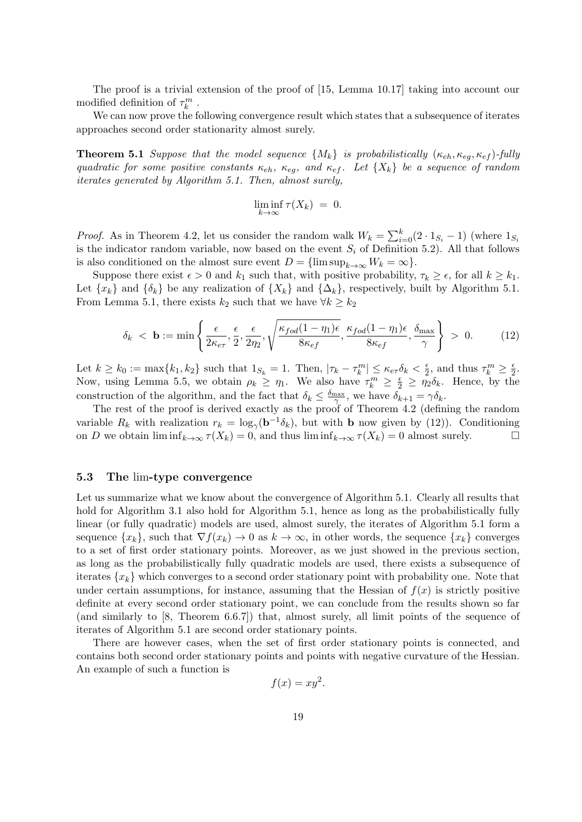The proof is a trivial extension of the proof of [15, Lemma 10.17] taking into account our modified definition of  $\tau_k^m$ .

We can now prove the following convergence result which states that a subsequence of iterates approaches second order stationarity almost surely.

**Theorem 5.1** Suppose that the model sequence  $\{M_k\}$  is probabilistically  $(\kappa_{eh}, \kappa_{eq}, \kappa_{ef})$ -fully quadratic for some positive constants  $\kappa_{eh}$ ,  $\kappa_{eq}$ , and  $\kappa_{ef}$ . Let  $\{X_k\}$  be a sequence of random iterates generated by Algorithm 5.1. Then, almost surely,

$$
\liminf_{k \to \infty} \tau(X_k) = 0.
$$

*Proof.* As in Theorem 4.2, let us consider the random walk  $W_k = \sum_{i=0}^k (2 \cdot 1_{S_i} - 1)$  (where  $1_{S_i}$ is the indicator random variable, now based on the event  $S_i$  of Definition 5.2). All that follows is also conditioned on the almost sure event  $D = \{\limsup_{k \to \infty} W_k = \infty\}.$ 

Suppose there exist  $\epsilon > 0$  and  $k_1$  such that, with positive probability,  $\tau_k \geq \epsilon$ , for all  $k \geq k_1$ . Let  $\{x_k\}$  and  $\{\delta_k\}$  be any realization of  $\{X_k\}$  and  $\{\Delta_k\}$ , respectively, built by Algorithm 5.1. From Lemma 5.1, there exists  $k_2$  such that we have  $\forall k \geq k_2$ 

$$
\delta_k < \mathbf{b} := \min\left\{ \frac{\epsilon}{2\kappa_{e\tau}}, \frac{\epsilon}{2}, \frac{\epsilon}{2\eta_2}, \sqrt{\frac{\kappa_{fod}(1-\eta_1)\epsilon}{8\kappa_{ef}}}, \frac{\kappa_{fod}(1-\eta_1)\epsilon}{8\kappa_{ef}}, \frac{\delta_{\max}}{\gamma} \right\} > 0. \tag{12}
$$

Let  $k \geq k_0 := \max\{k_1, k_2\}$  such that  $1_{S_k} = 1$ . Then,  $|\tau_k - \tau_k^m| \leq \kappa_{e\tau} \delta_k < \frac{\epsilon}{2}$  $\frac{\epsilon}{2}$ , and thus  $\tau_k^m \geq \frac{\epsilon}{2}$  $rac{\epsilon}{2}$ . Now, using Lemma 5.5, we obtain  $\rho_k \geq \eta_1$ . We also have  $\tau_k^m \geq \frac{\epsilon}{2} \geq \eta_2 \delta_k$ . Hence, by the construction of the algorithm, and the fact that  $\delta_k \leq \frac{\delta_{\max}}{\gamma}$ , we have  $\delta_{k+1} = \gamma \delta_k$ .

The rest of the proof is derived exactly as the proof of Theorem 4.2 (defining the random variable  $R_k$  with realization  $r_k = \log_{\gamma}(\mathbf{b}^{-1}\delta_k)$ , but with **b** now given by (12)). Conditioning on D we obtain  $\liminf_{k\to\infty} \tau(X_k) = 0$ , and thus  $\liminf_{k\to\infty} \tau(X_k) = 0$  almost surely.

#### 5.3 The lim-type convergence

Let us summarize what we know about the convergence of Algorithm 5.1. Clearly all results that hold for Algorithm 3.1 also hold for Algorithm 5.1, hence as long as the probabilistically fully linear (or fully quadratic) models are used, almost surely, the iterates of Algorithm 5.1 form a sequence  $\{x_k\}$ , such that  $\nabla f(x_k) \to 0$  as  $k \to \infty$ , in other words, the sequence  $\{x_k\}$  converges to a set of first order stationary points. Moreover, as we just showed in the previous section, as long as the probabilistically fully quadratic models are used, there exists a subsequence of iterates  $\{x_k\}$  which converges to a second order stationary point with probability one. Note that under certain assumptions, for instance, assuming that the Hessian of  $f(x)$  is strictly positive definite at every second order stationary point, we can conclude from the results shown so far (and similarly to [8, Theorem 6.6.7]) that, almost surely, all limit points of the sequence of iterates of Algorithm 5.1 are second order stationary points.

There are however cases, when the set of first order stationary points is connected, and contains both second order stationary points and points with negative curvature of the Hessian. An example of such a function is

$$
f(x) = xy^2.
$$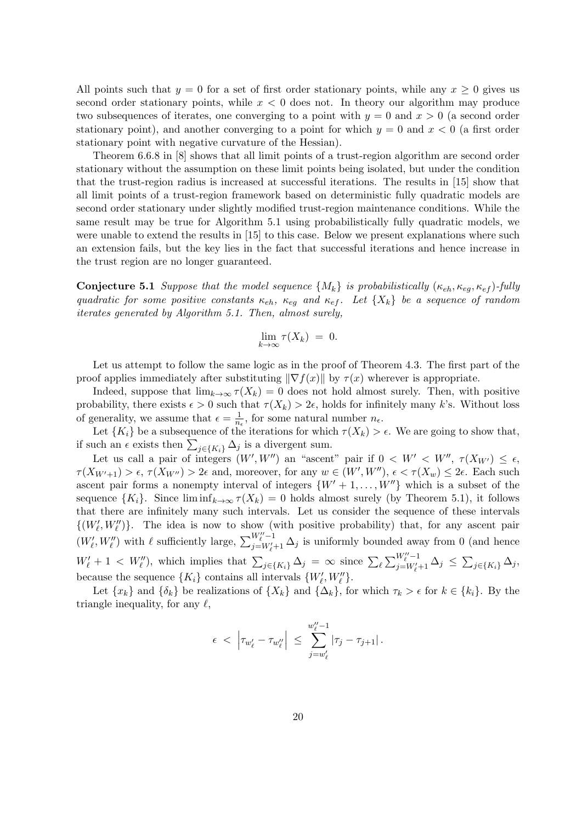All points such that  $y = 0$  for a set of first order stationary points, while any  $x \ge 0$  gives us second order stationary points, while  $x < 0$  does not. In theory our algorithm may produce two subsequences of iterates, one converging to a point with  $y = 0$  and  $x > 0$  (a second order stationary point), and another converging to a point for which  $y = 0$  and  $x < 0$  (a first order stationary point with negative curvature of the Hessian).

Theorem 6.6.8 in [8] shows that all limit points of a trust-region algorithm are second order stationary without the assumption on these limit points being isolated, but under the condition that the trust-region radius is increased at successful iterations. The results in [15] show that all limit points of a trust-region framework based on deterministic fully quadratic models are second order stationary under slightly modified trust-region maintenance conditions. While the same result may be true for Algorithm 5.1 using probabilistically fully quadratic models, we were unable to extend the results in [15] to this case. Below we present explanations where such an extension fails, but the key lies in the fact that successful iterations and hence increase in the trust region are no longer guaranteed.

**Conjecture 5.1** Suppose that the model sequence  $\{M_k\}$  is probabilistically  $(\kappa_{eh}, \kappa_{eq}, \kappa_{ef})$ -fully quadratic for some positive constants  $\kappa_{eh}$ ,  $\kappa_{eq}$  and  $\kappa_{ef}$ . Let  $\{X_k\}$  be a sequence of random iterates generated by Algorithm 5.1. Then, almost surely,

$$
\lim_{k \to \infty} \tau(X_k) = 0.
$$

Let us attempt to follow the same logic as in the proof of Theorem 4.3. The first part of the proof applies immediately after substituting  $\|\nabla f(x)\|$  by  $\tau(x)$  wherever is appropriate.

Indeed, suppose that  $\lim_{k\to\infty} \tau(X_k) = 0$  does not hold almost surely. Then, with positive probability, there exists  $\epsilon > 0$  such that  $\tau(X_k) > 2\epsilon$ , holds for infinitely many k's. Without loss of generality, we assume that  $\epsilon = \frac{1}{n}$  $\frac{1}{n_{\epsilon}}$ , for some natural number  $n_{\epsilon}$ .

Let  ${K_i}$  be a subsequence of the iterations for which  $\tau(X_k) > \epsilon$ . We are going to show that, if such an  $\epsilon$  exists then  $\sum_{j\in\{K_i\}} \Delta_j$  is a divergent sum.

Let us call a pair of integers  $(W', W'')$  an "ascent" pair if  $0 < W' < W''$ ,  $\tau(X_{W'}) \leq \epsilon$ ,  $\tau(X_{W'+1}) > \epsilon$ ,  $\tau(X_{W''}) > 2\epsilon$  and, moreover, for any  $w \in (W', W'')$ ,  $\epsilon < \tau(X_w) \leq 2\epsilon$ . Each such ascent pair forms a nonempty interval of integers  $\{W' + 1, \ldots, W''\}$  which is a subset of the sequence  $\{K_i\}$ . Since  $\liminf_{k\to\infty} \tau(X_k) = 0$  holds almost surely (by Theorem 5.1), it follows that there are infinitely many such intervals. Let us consider the sequence of these intervals  $\{(W'_\ell, W''_\ell)\}.$  The idea is now to show (with positive probability) that, for any ascent pair  $(W'_{\ell}, W''_{\ell})$  with  $\ell$  sufficiently large,  $\sum_{j=W'_{\ell}}^{W''_{\ell}-1}$  $\sum_{j=W'_{\ell}+1}^{W_{\ell}-1} \Delta_j$  is uniformly bounded away from 0 (and hence  $W'_\ell + 1 \, < \, W''_\ell$ , which implies that  $\sum_{j \in \{K_i\}} \Delta_j = \infty$  since  $\sum_{\ell} \sum_{j=W'_\ell}^{W''_\ell-1}$  $\sum_{j=W'_{\ell}+1}^{W_{\ell}-1} \Delta_j \leq \sum_{j\in\{K_i\}} \Delta_j,$ 

because the sequence  $\{K_i\}$  contains all intervals  $\{W'_\ell, W''_\ell\}.$ Let  $\{x_k\}$  and  $\{\delta_k\}$  be realizations of  $\{X_k\}$  and  $\{\Delta_k\}$ , for which  $\tau_k > \epsilon$  for  $k \in \{k_i\}$ . By the triangle inequality, for any  $\ell$ ,

$$
\epsilon \ < \ \left|\tau_{w'_\ell}-\tau_{w''_\ell}\right| \ \leq \ \sum_{j=w'_\ell}^{w''_\ell-1} |\tau_j-\tau_{j+1}|\,.
$$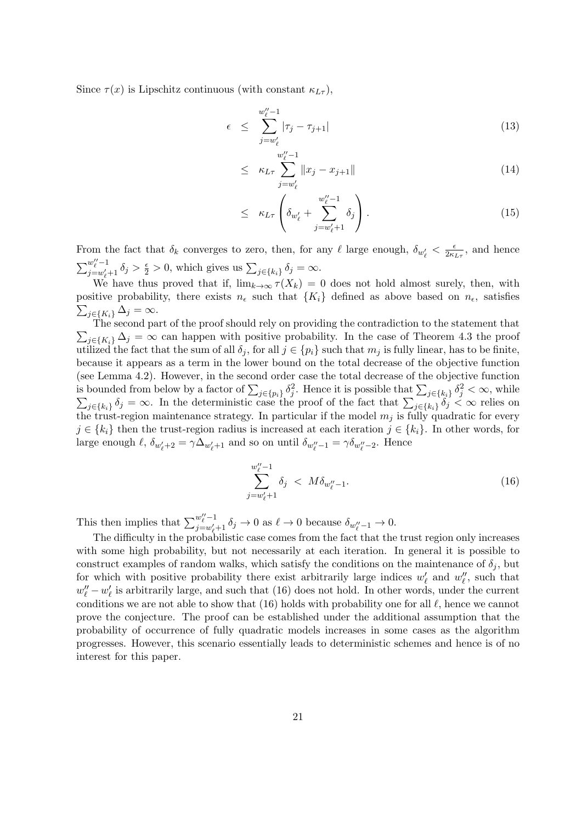Since  $\tau(x)$  is Lipschitz continuous (with constant  $\kappa_{L\tau}$ ),

$$
\epsilon \leq \sum_{j=w_{\ell}'}^{w_{\ell}''-1} |\tau_j - \tau_{j+1}| \tag{13}
$$

$$
\leq \kappa_{L\tau} \sum_{j=w'_{\ell}}^{w''_{\ell}-1} \|x_j - x_{j+1}\| \tag{14}
$$

$$
\leq \kappa_{L\tau} \left( \delta_{w'_\ell} + \sum_{j=w'_\ell+1}^{w''_\ell-1} \delta_j \right). \tag{15}
$$

From the fact that  $\delta_k$  converges to zero, then, for any  $\ell$  large enough,  $\delta_{w'_\ell} < \frac{\epsilon}{2\kappa}$  $\frac{\epsilon}{2\kappa_{L\tau}}$ , and hence  $\sum_{i=-\infty}^{w''-1}$  $\frac{w_i - 1}{j = w'_i + 1} \delta_j > \frac{\epsilon}{2} > 0$ , which gives us  $\sum_{j \in \{k_i\}} \delta_j = \infty$ .

We have thus proved that if,  $\lim_{k\to\infty} \tau(X_k) = 0$  does not hold almost surely, then, with positive probability, there exists  $n_{\epsilon}$  such that  $\{K_i\}$  defined as above based on  $n_{\epsilon}$ , satisfies  $\sum_{j\in\{K_i\}}\Delta_j=\infty.$ 

 $\sum_{j\in\{K_i\}}\Delta_j = \infty$  can happen with positive probability. In the case of Theorem 4.3 the proof The second part of the proof should rely on providing the contradiction to the statement that utilized the fact that the sum of all  $\delta_i$ , for all  $j \in \{p_i\}$  such that  $m_j$  is fully linear, has to be finite, because it appears as a term in the lower bound on the total decrease of the objective function (see Lemma 4.2). However, in the second order case the total decrease of the objective function is bounded from below by a factor of  $\sum_{j\in\{p_i\}} \delta_j^2$ . Hence it is possible that  $\sum_{j\in\{k_i\}} \delta_j^2$  $\sum$  $j^2 < \infty$ , while  $j \in \{k_i\}$   $\delta_j = \infty$ . In the deterministic case the proof of the fact that  $\sum_{j \in \{k_i\}} \delta_j < \infty$  relies on the trust-region maintenance strategy. In particular if the model  $m_j$  is fully quadratic for every  $j \in \{k_i\}$  then the trust-region radius is increased at each iteration  $j \in \{k_i\}$ . In other words, for large enough  $\ell, \, \delta_{w'_\ell+2} = \gamma \Delta_{w'_\ell+1}$  and so on until  $\delta_{w''_\ell-1} = \gamma \delta_{w''_\ell-2}$ . Hence

$$
\sum_{j=w_{\ell}'+1}^{w_{\ell}''-1} \delta_j \, < \, M \delta_{w_{\ell}''-1}.\tag{16}
$$

This then implies that  $\sum_{i=m'}^{w''_l-1}$  $\frac{w_{\ell}-1}{j=w_{\ell}'+1} \delta_j \to 0$  as  $\ell \to 0$  because  $\delta_{w_{\ell}''-1} \to 0$ .

The difficulty in the probabilistic case comes from the fact that the trust region only increases with some high probability, but not necessarily at each iteration. In general it is possible to construct examples of random walks, which satisfy the conditions on the maintenance of  $\delta_j$ , but for which with positive probability there exist arbitrarily large indices  $w'_\ell$  and  $w''_\ell$ , such that  $w''_{\ell} - w'_{\ell}$  is arbitrarily large, and such that (16) does not hold. In other words, under the current conditions we are not able to show that (16) holds with probability one for all  $\ell$ , hence we cannot prove the conjecture. The proof can be established under the additional assumption that the probability of occurrence of fully quadratic models increases in some cases as the algorithm progresses. However, this scenario essentially leads to deterministic schemes and hence is of no interest for this paper.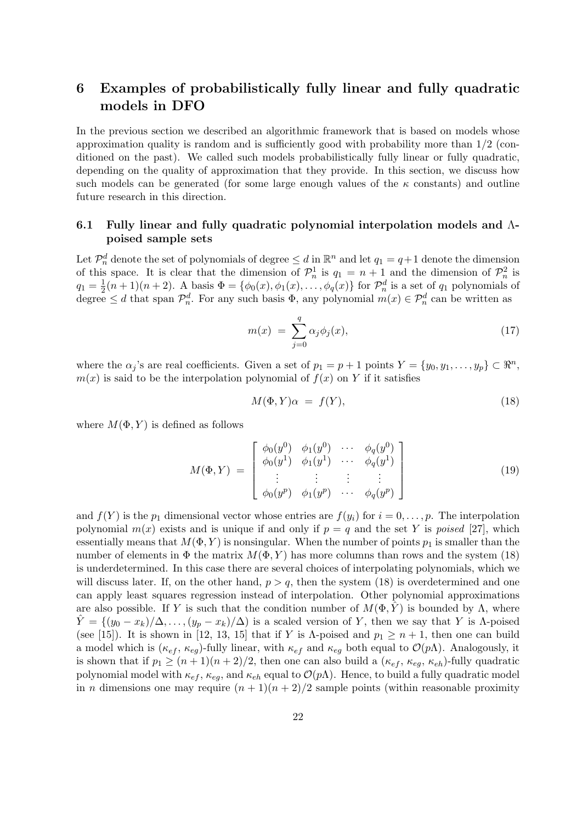# 6 Examples of probabilistically fully linear and fully quadratic models in DFO

In the previous section we described an algorithmic framework that is based on models whose approximation quality is random and is sufficiently good with probability more than 1/2 (conditioned on the past). We called such models probabilistically fully linear or fully quadratic, depending on the quality of approximation that they provide. In this section, we discuss how such models can be generated (for some large enough values of the  $\kappa$  constants) and outline future research in this direction.

### 6.1 Fully linear and fully quadratic polynomial interpolation models and Λpoised sample sets

Let  $\mathcal{P}_n^d$  denote the set of polynomials of degree  $\leq d$  in  $\mathbb{R}^n$  and let  $q_1 = q+1$  denote the dimension of this space. It is clear that the dimension of  $\mathcal{P}_n^1$  is  $q_1 = n + 1$  and the dimension of  $\mathcal{P}_n^2$  is  $q_1 = \frac{1}{2}$  $\frac{1}{2}(n+1)(n+2)$ . A basis  $\Phi = {\phi_0(x), \phi_1(x), \dots, \phi_q(x)}$  for  $\mathcal{P}_n^d$  is a set of  $q_1$  polynomials of degree  $\leq d$  that span  $\mathcal{P}_n^d$ . For any such basis  $\Phi$ , any polynomial  $m(x) \in \mathcal{P}_n^d$  can be written as

$$
m(x) = \sum_{j=0}^{q} \alpha_j \phi_j(x), \qquad (17)
$$

where the  $\alpha_j$ 's are real coefficients. Given a set of  $p_1 = p + 1$  points  $Y = \{y_0, y_1, \ldots, y_p\} \subset \mathbb{R}^n$ ,  $m(x)$  is said to be the interpolation polynomial of  $f(x)$  on Y if it satisfies

$$
M(\Phi, Y)\alpha = f(Y),\tag{18}
$$

where  $M(\Phi, Y)$  is defined as follows

$$
M(\Phi, Y) = \begin{bmatrix} \phi_0(y^0) & \phi_1(y^0) & \cdots & \phi_q(y^0) \\ \phi_0(y^1) & \phi_1(y^1) & \cdots & \phi_q(y^1) \\ \vdots & \vdots & \vdots & \vdots \\ \phi_0(y^p) & \phi_1(y^p) & \cdots & \phi_q(y^p) \end{bmatrix}
$$
(19)

and  $f(Y)$  is the  $p_1$  dimensional vector whose entries are  $f(y_i)$  for  $i = 0, \ldots, p$ . The interpolation polynomial  $m(x)$  exists and is unique if and only if  $p = q$  and the set Y is *poised* [27], which essentially means that  $M(\Phi, Y)$  is nonsingular. When the number of points  $p_1$  is smaller than the number of elements in  $\Phi$  the matrix  $M(\Phi, Y)$  has more columns than rows and the system (18) is underdetermined. In this case there are several choices of interpolating polynomials, which we will discuss later. If, on the other hand,  $p > q$ , then the system (18) is overdetermined and one can apply least squares regression instead of interpolation. Other polynomial approximations are also possible. If Y is such that the condition number of  $M(\Phi, \tilde{Y})$  is bounded by  $\Lambda$ , where  $\hat{Y} = \{(y_0 - x_k)/\Delta, \ldots, (y_p - x_k)/\Delta\}$  is a scaled version of Y, then we say that Y is  $\Lambda$ -poised (see [15]). It is shown in [12, 13, 15] that if Y is  $\Lambda$ -poised and  $p_1 \geq n+1$ , then one can build a model which is  $(\kappa_{ef}, \kappa_{eg})$ -fully linear, with  $\kappa_{ef}$  and  $\kappa_{eg}$  both equal to  $\mathcal{O}(p\Lambda)$ . Analogously, it is shown that if  $p_1 \ge (n+1)(n+2)/2$ , then one can also build a  $(\kappa_{ef}, \kappa_{eq}, \kappa_{eh})$ -fully quadratic polynomial model with  $\kappa_{ef}$ ,  $\kappa_{eg}$ , and  $\kappa_{eh}$  equal to  $\mathcal{O}(p\Lambda)$ . Hence, to build a fully quadratic model in *n* dimensions one may require  $(n + 1)(n + 2)/2$  sample points (within reasonable proximity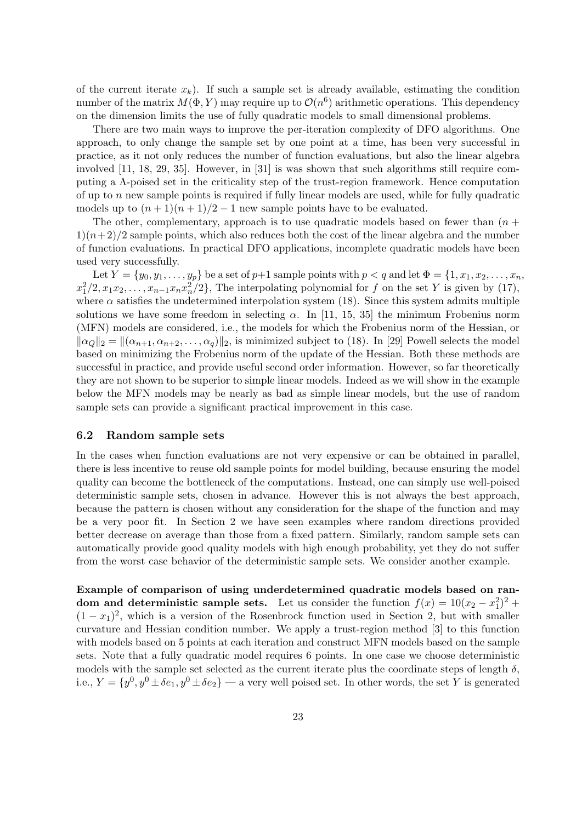of the current iterate  $x_k$ ). If such a sample set is already available, estimating the condition number of the matrix  $M(\Phi, Y)$  may require up to  $\mathcal{O}(n^6)$  arithmetic operations. This dependency on the dimension limits the use of fully quadratic models to small dimensional problems.

There are two main ways to improve the per-iteration complexity of DFO algorithms. One approach, to only change the sample set by one point at a time, has been very successful in practice, as it not only reduces the number of function evaluations, but also the linear algebra involved [11, 18, 29, 35]. However, in [31] is was shown that such algorithms still require computing a Λ-poised set in the criticality step of the trust-region framework. Hence computation of up to n new sample points is required if fully linear models are used, while for fully quadratic models up to  $(n+1)(n+1)/2 - 1$  new sample points have to be evaluated.

The other, complementary, approach is to use quadratic models based on fewer than  $(n +$  $1(n+2)/2$  sample points, which also reduces both the cost of the linear algebra and the number of function evaluations. In practical DFO applications, incomplete quadratic models have been used very successfully.

Let  $Y = \{y_0, y_1, \ldots, y_p\}$  be a set of  $p+1$  sample points with  $p < q$  and let  $\Phi = \{1, x_1, x_2, \ldots, x_n\}$  $x_1^2/2, x_1x_2, \ldots, x_{n-1}x_nx_n^2/2\},$  The interpolating polynomial for f on the set Y is given by (17), where  $\alpha$  satisfies the undetermined interpolation system (18). Since this system admits multiple solutions we have some freedom in selecting  $\alpha$ . In [11, 15, 35] the minimum Frobenius norm (MFN) models are considered, i.e., the models for which the Frobenius norm of the Hessian, or  $\|\alpha_Q\|_2 = \|(\alpha_{n+1}, \alpha_{n+2}, \dots, \alpha_q)\|_2$ , is minimized subject to (18). In [29] Powell selects the model based on minimizing the Frobenius norm of the update of the Hessian. Both these methods are successful in practice, and provide useful second order information. However, so far theoretically they are not shown to be superior to simple linear models. Indeed as we will show in the example below the MFN models may be nearly as bad as simple linear models, but the use of random sample sets can provide a significant practical improvement in this case.

#### 6.2 Random sample sets

In the cases when function evaluations are not very expensive or can be obtained in parallel, there is less incentive to reuse old sample points for model building, because ensuring the model quality can become the bottleneck of the computations. Instead, one can simply use well-poised deterministic sample sets, chosen in advance. However this is not always the best approach, because the pattern is chosen without any consideration for the shape of the function and may be a very poor fit. In Section 2 we have seen examples where random directions provided better decrease on average than those from a fixed pattern. Similarly, random sample sets can automatically provide good quality models with high enough probability, yet they do not suffer from the worst case behavior of the deterministic sample sets. We consider another example.

Example of comparison of using underdetermined quadratic models based on random and deterministic sample sets. Let us consider the function  $f(x) = 10(x_2 - x_1^2)^2 +$  $(1-x_1)^2$ , which is a version of the Rosenbrock function used in Section 2, but with smaller curvature and Hessian condition number. We apply a trust-region method [3] to this function with models based on 5 points at each iteration and construct MFN models based on the sample sets. Note that a fully quadratic model requires 6 points. In one case we choose deterministic models with the sample set selected as the current iterate plus the coordinate steps of length  $\delta$ , i.e.,  $Y = \{y^0, y^0 \pm \delta e_1, y^0 \pm \delta e_2\}$  — a very well poised set. In other words, the set Y is generated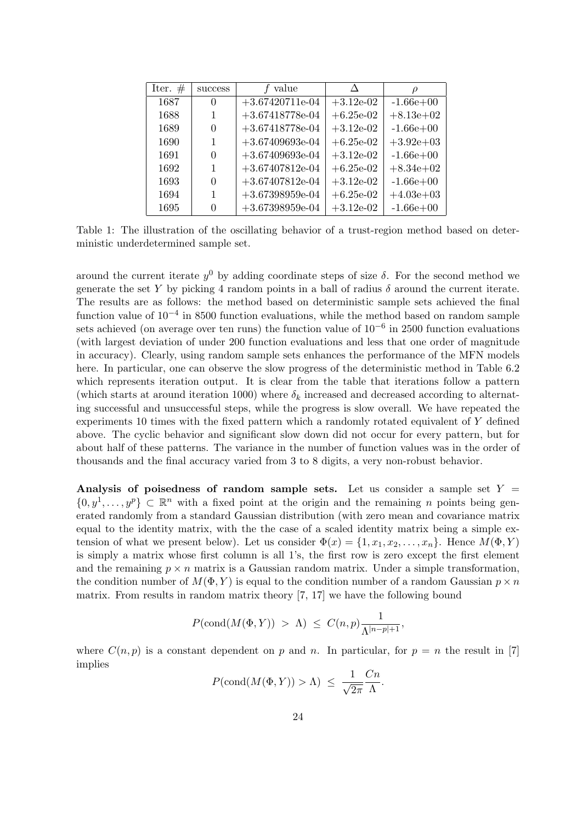| Iter. $#$ | success  | f value           |              | ρ           |
|-----------|----------|-------------------|--------------|-------------|
| 1687      | $\theta$ | $+3.67420711e-04$ | $+3.12e-0.2$ | $-1.66e+00$ |
| 1688      | 1        | $+3.67418778e-04$ | $+6.25e-02$  | $+8.13e+02$ |
| 1689      | 0        | $+3.67418778e-04$ | $+3.12e-02$  | $-1.66e+00$ |
| 1690      | 1        | $+3.67409693e-04$ | $+6.25e-02$  | $+3.92e+03$ |
| 1691      | $\Omega$ | $+3.67409693e-04$ | $+3.12e-0.2$ | $-1.66e+00$ |
| 1692      | 1        | $+3.67407812e-04$ | $+6.25e-02$  | $+8.34e+02$ |
| 1693      | 0        | $+3.67407812e-04$ | $+3.12e-0.2$ | $-1.66e+00$ |
| 1694      | 1        | $+3.67398959e-04$ | $+6.25e-02$  | $+4.03e+03$ |
| 1695      | 0        | $+3.67398959e-04$ | $+3.12e-02$  | $-1.66e+00$ |

Table 1: The illustration of the oscillating behavior of a trust-region method based on deterministic underdetermined sample set.

around the current iterate  $y^0$  by adding coordinate steps of size  $\delta$ . For the second method we generate the set Y by picking 4 random points in a ball of radius  $\delta$  around the current iterate. The results are as follows: the method based on deterministic sample sets achieved the final function value of 10<sup>-4</sup> in 8500 function evaluations, while the method based on random sample sets achieved (on average over ten runs) the function value of 10<sup>-6</sup> in 2500 function evaluations (with largest deviation of under 200 function evaluations and less that one order of magnitude in accuracy). Clearly, using random sample sets enhances the performance of the MFN models here. In particular, one can observe the slow progress of the deterministic method in Table 6.2 which represents iteration output. It is clear from the table that iterations follow a pattern (which starts at around iteration 1000) where  $\delta_k$  increased and decreased according to alternating successful and unsuccessful steps, while the progress is slow overall. We have repeated the experiments 10 times with the fixed pattern which a randomly rotated equivalent of Y defined above. The cyclic behavior and significant slow down did not occur for every pattern, but for about half of these patterns. The variance in the number of function values was in the order of thousands and the final accuracy varied from 3 to 8 digits, a very non-robust behavior.

Analysis of poisedness of random sample sets. Let us consider a sample set  $Y =$  $\{0, y^1, \ldots, y^p\} \subset \mathbb{R}^n$  with a fixed point at the origin and the remaining n points being generated randomly from a standard Gaussian distribution (with zero mean and covariance matrix equal to the identity matrix, with the the case of a scaled identity matrix being a simple extension of what we present below). Let us consider  $\Phi(x) = \{1, x_1, x_2, \ldots, x_n\}$ . Hence  $M(\Phi, Y)$ is simply a matrix whose first column is all 1's, the first row is zero except the first element and the remaining  $p \times n$  matrix is a Gaussian random matrix. Under a simple transformation, the condition number of  $M(\Phi, Y)$  is equal to the condition number of a random Gaussian  $p \times n$ matrix. From results in random matrix theory [7, 17] we have the following bound

$$
P(\text{cond}(M(\Phi, Y)) > \Lambda) \leq C(n,p) \frac{1}{\Lambda^{|n-p|+1}},
$$

where  $C(n, p)$  is a constant dependent on p and n. In particular, for  $p = n$  the result in [7] implies

$$
P(\text{cond}(M(\Phi, Y)) > \Lambda) \le \frac{1}{\sqrt{2\pi}} \frac{Cn}{\Lambda}.
$$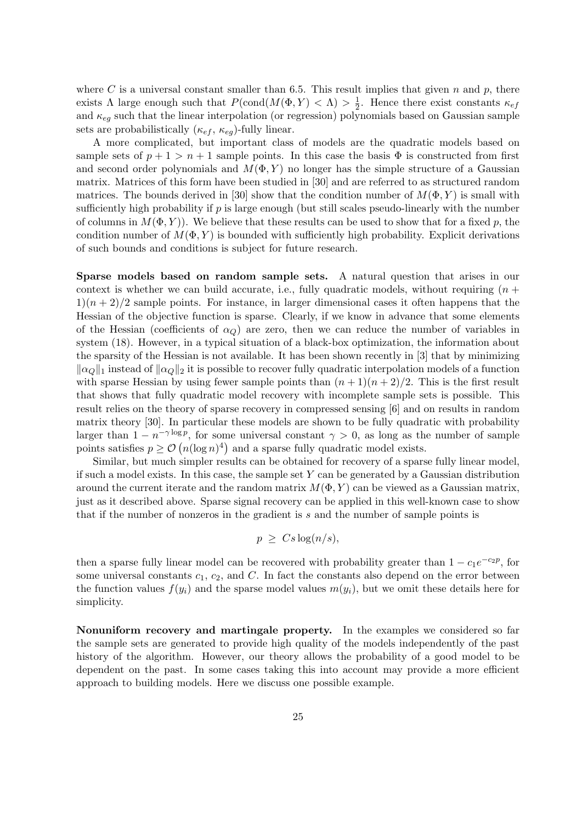where C is a universal constant smaller than 6.5. This result implies that given n and p, there exists  $\Lambda$  large enough such that  $P(\text{cond}(M(\Phi, Y) < \Lambda) > \frac{1}{2})$  $\frac{1}{2}$ . Hence there exist constants  $\kappa_{ef}$ and  $\kappa_{eg}$  such that the linear interpolation (or regression) polynomials based on Gaussian sample sets are probabilistically  $(\kappa_{ef}, \kappa_{eq})$ -fully linear.

A more complicated, but important class of models are the quadratic models based on sample sets of  $p + 1 > n + 1$  sample points. In this case the basis  $\Phi$  is constructed from first and second order polynomials and  $M(\Phi, Y)$  no longer has the simple structure of a Gaussian matrix. Matrices of this form have been studied in [30] and are referred to as structured random matrices. The bounds derived in [30] show that the condition number of  $M(\Phi, Y)$  is small with sufficiently high probability if  $p$  is large enough (but still scales pseudo-linearly with the number of columns in  $M(\Phi, Y)$ . We believe that these results can be used to show that for a fixed p, the condition number of  $M(\Phi, Y)$  is bounded with sufficiently high probability. Explicit derivations of such bounds and conditions is subject for future research.

Sparse models based on random sample sets. A natural question that arises in our context is whether we can build accurate, i.e., fully quadratic models, without requiring  $(n +$  $1(n+2)/2$  sample points. For instance, in larger dimensional cases it often happens that the Hessian of the objective function is sparse. Clearly, if we know in advance that some elements of the Hessian (coefficients of  $\alpha_Q$ ) are zero, then we can reduce the number of variables in system (18). However, in a typical situation of a black-box optimization, the information about the sparsity of the Hessian is not available. It has been shown recently in [3] that by minimizing  $\|\alpha_{\mathcal{Q}}\|_1$  instead of  $\|\alpha_{\mathcal{Q}}\|_2$  it is possible to recover fully quadratic interpolation models of a function with sparse Hessian by using fewer sample points than  $(n+1)(n+2)/2$ . This is the first result that shows that fully quadratic model recovery with incomplete sample sets is possible. This result relies on the theory of sparse recovery in compressed sensing [6] and on results in random matrix theory [30]. In particular these models are shown to be fully quadratic with probability larger than  $1 - n^{-\gamma \log p}$ , for some universal constant  $\gamma > 0$ , as long as the number of sample points satisfies  $p \geq \mathcal{O}(n(\log n)^4)$  and a sparse fully quadratic model exists.

Similar, but much simpler results can be obtained for recovery of a sparse fully linear model, if such a model exists. In this case, the sample set  $Y$  can be generated by a Gaussian distribution around the current iterate and the random matrix  $M(\Phi, Y)$  can be viewed as a Gaussian matrix, just as it described above. Sparse signal recovery can be applied in this well-known case to show that if the number of nonzeros in the gradient is s and the number of sample points is

$$
p \geq Cs \log(n/s),
$$

then a sparse fully linear model can be recovered with probability greater than  $1 - c_1e^{-c_2p}$ , for some universal constants  $c_1, c_2$ , and C. In fact the constants also depend on the error between the function values  $f(y_i)$  and the sparse model values  $m(y_i)$ , but we omit these details here for simplicity.

Nonuniform recovery and martingale property. In the examples we considered so far the sample sets are generated to provide high quality of the models independently of the past history of the algorithm. However, our theory allows the probability of a good model to be dependent on the past. In some cases taking this into account may provide a more efficient approach to building models. Here we discuss one possible example.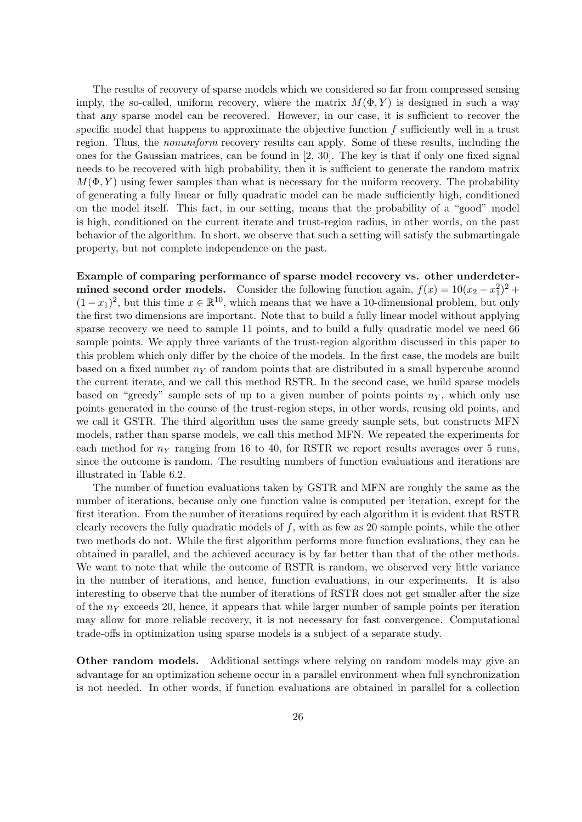The results of recovery of sparse models which we considered so far from compressed sensing imply, the so-called, uniform recovery, where the matrix  $M(\Phi, Y)$  is designed in such a way that any sparse model can be recovered. However, in our case, it is sufficient to recover the specific model that happens to approximate the objective function f sufficiently well in a trust region. Thus, the nonuniform recovery results can apply. Some of these results, including the ones for the Gaussian matrices, can be found in [2, 30]. The key is that if only one fixed signal needs to be recovered with high probability, then it is sufficient to generate the random matrix  $M(\Phi, Y)$  using fewer samples than what is necessary for the uniform recovery. The probability of generating a fully linear or fully quadratic model can be made sufficiently high, conditioned on the model itself. This fact, in our setting, means that the probability of a "good" model is high, conditioned on the current iterate and trust-region radius, in other words, on the past behavior of the algorithm. In short, we observe that such a setting will satisfy the submartingale property, but not complete independence on the past.

Example of comparing performance of sparse model recovery vs. other underdetermined second order models. Consider the following function again,  $f(x) = 10(x_2 - x_1^2)^2 +$  $(1-x_1)^2$ , but this time  $x \in \mathbb{R}^{10}$ , which means that we have a 10-dimensional problem, but only the first two dimensions are important. Note that to build a fully linear model without applying sparse recovery we need to sample 11 points, and to build a fully quadratic model we need 66 sample points. We apply three variants of the trust-region algorithm discussed in this paper to this problem which only differ by the choice of the models. In the first case, the models are built based on a fixed number  $n<sub>Y</sub>$  of random points that are distributed in a small hypercube around the current iterate, and we call this method RSTR. In the second case, we build sparse models based on "greedy" sample sets of up to a given number of points points  $n<sub>Y</sub>$ , which only use points generated in the course of the trust-region steps, in other words, reusing old points, and we call it GSTR. The third algorithm uses the same greedy sample sets, but constructs MFN models, rather than sparse models, we call this method MFN. We repeated the experiments for each method for  $n<sub>Y</sub>$  ranging from 16 to 40, for RSTR we report results averages over 5 runs, since the outcome is random. The resulting numbers of function evaluations and iterations are illustrated in Table 6.2.

The number of function evaluations taken by GSTR and MFN are roughly the same as the number of iterations, because only one function value is computed per iteration, except for the first iteration. From the number of iterations required by each algorithm it is evident that RSTR clearly recovers the fully quadratic models of  $f$ , with as few as 20 sample points, while the other two methods do not. While the first algorithm performs more function evaluations, they can be obtained in parallel, and the achieved accuracy is by far better than that of the other methods. We want to note that while the outcome of RSTR is random, we observed very little variance in the number of iterations, and hence, function evaluations, in our experiments. It is also interesting to observe that the number of iterations of RSTR does not get smaller after the size of the  $n<sub>Y</sub>$  exceeds 20, hence, it appears that while larger number of sample points per iteration may allow for more reliable recovery, it is not necessary for fast convergence. Computational trade-offs in optimization using sparse models is a subject of a separate study.

Other random models. Additional settings where relying on random models may give an advantage for an optimization scheme occur in a parallel environment when full synchronization is not needed. In other words, if function evaluations are obtained in parallel for a collection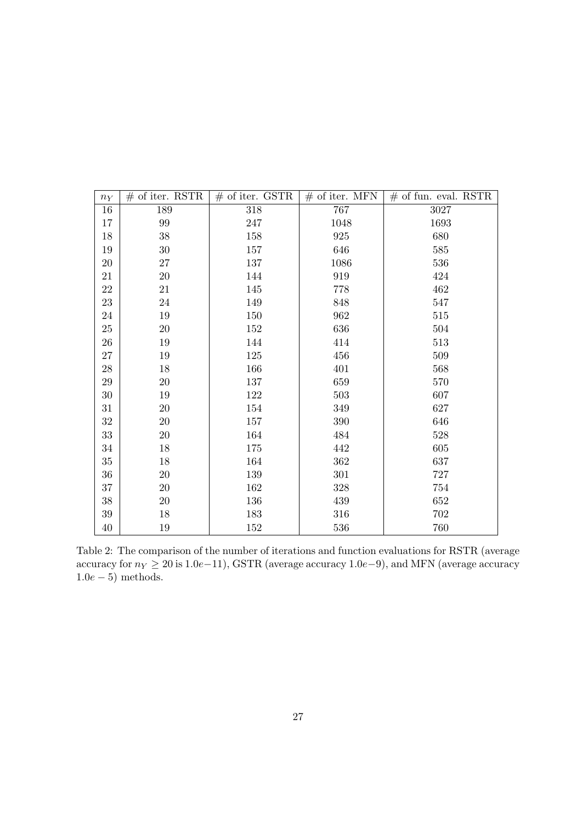| $n_Y$  | $#$ of iter. RSTR | $\#$ of iter. GSTR $\#$ of iter. MFN |         | $#$ of fun. eval. RSTR |
|--------|-------------------|--------------------------------------|---------|------------------------|
| 16     | 189               | $318\,$                              | 767     | 3027                   |
| 17     | $99\,$            | 247                                  | 1048    | 1693                   |
| 18     | $38\,$            | 158                                  | 925     | 680                    |
| 19     | $30\,$            | 157                                  | 646     | 585                    |
| 20     | $27\,$            | 137                                  | 1086    | 536                    |
| 21     | $20\,$            | 144                                  | 919     | 424                    |
| 22     | 21                | 145                                  | 778     | 462                    |
| 23     | $24\,$            | 149                                  | 848     | 547                    |
| 24     | 19                | 150                                  | 962     | 515                    |
| 25     | $20\,$            | 152                                  | 636     | 504                    |
| $26\,$ | 19                | 144                                  | 414     | 513                    |
| 27     | 19                | 125                                  | 456     | 509                    |
| 28     | 18                | 166                                  | 401     | 568                    |
| 29     | $20\,$            | 137                                  | 659     | 570                    |
| $30\,$ | 19                | 122                                  | 503     | 607                    |
| 31     | 20                | 154                                  | 349     | 627                    |
| $32\,$ | $20\,$            | 157                                  | $390\,$ | 646                    |
| 33     | $20\,$            | 164                                  | 484     | 528                    |
| 34     | 18                | 175                                  | 442     | 605                    |
| 35     | 18                | 164                                  | 362     | 637                    |
| $36\,$ | $20\,$            | 139                                  | $301\,$ | 727                    |
| 37     | $20\,$            | 162                                  | $328\,$ | 754                    |
| 38     | $20\,$            | 136                                  | 439     | 652                    |
| $39\,$ | 18                | 183                                  | 316     | 702                    |
| 40     | 19                | 152                                  | 536     | 760                    |

Table 2: The comparison of the number of iterations and function evaluations for RSTR (average accuracy for  $n_Y \ge 20$  is 1.0e−11), GSTR (average accuracy 1.0e−9), and MFN (average accuracy  $1.0e-5$ ) methods.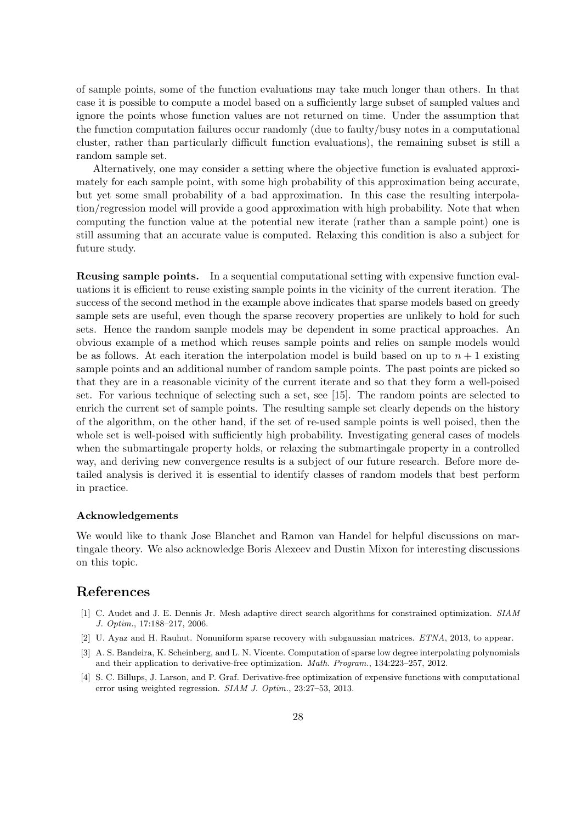of sample points, some of the function evaluations may take much longer than others. In that case it is possible to compute a model based on a sufficiently large subset of sampled values and ignore the points whose function values are not returned on time. Under the assumption that the function computation failures occur randomly (due to faulty/busy notes in a computational cluster, rather than particularly difficult function evaluations), the remaining subset is still a random sample set.

Alternatively, one may consider a setting where the objective function is evaluated approximately for each sample point, with some high probability of this approximation being accurate, but yet some small probability of a bad approximation. In this case the resulting interpolation/regression model will provide a good approximation with high probability. Note that when computing the function value at the potential new iterate (rather than a sample point) one is still assuming that an accurate value is computed. Relaxing this condition is also a subject for future study.

Reusing sample points. In a sequential computational setting with expensive function evaluations it is efficient to reuse existing sample points in the vicinity of the current iteration. The success of the second method in the example above indicates that sparse models based on greedy sample sets are useful, even though the sparse recovery properties are unlikely to hold for such sets. Hence the random sample models may be dependent in some practical approaches. An obvious example of a method which reuses sample points and relies on sample models would be as follows. At each iteration the interpolation model is build based on up to  $n + 1$  existing sample points and an additional number of random sample points. The past points are picked so that they are in a reasonable vicinity of the current iterate and so that they form a well-poised set. For various technique of selecting such a set, see [15]. The random points are selected to enrich the current set of sample points. The resulting sample set clearly depends on the history of the algorithm, on the other hand, if the set of re-used sample points is well poised, then the whole set is well-poised with sufficiently high probability. Investigating general cases of models when the submartingale property holds, or relaxing the submartingale property in a controlled way, and deriving new convergence results is a subject of our future research. Before more detailed analysis is derived it is essential to identify classes of random models that best perform in practice.

#### Acknowledgements

We would like to thank Jose Blanchet and Ramon van Handel for helpful discussions on martingale theory. We also acknowledge Boris Alexeev and Dustin Mixon for interesting discussions on this topic.

### References

- [1] C. Audet and J. E. Dennis Jr. Mesh adaptive direct search algorithms for constrained optimization. SIAM J. Optim., 17:188–217, 2006.
- [2] U. Ayaz and H. Rauhut. Nonuniform sparse recovery with subgaussian matrices. ETNA, 2013, to appear.
- [3] A. S. Bandeira, K. Scheinberg, and L. N. Vicente. Computation of sparse low degree interpolating polynomials and their application to derivative-free optimization. Math. Program., 134:223–257, 2012.
- [4] S. C. Billups, J. Larson, and P. Graf. Derivative-free optimization of expensive functions with computational error using weighted regression. SIAM J. Optim., 23:27–53, 2013.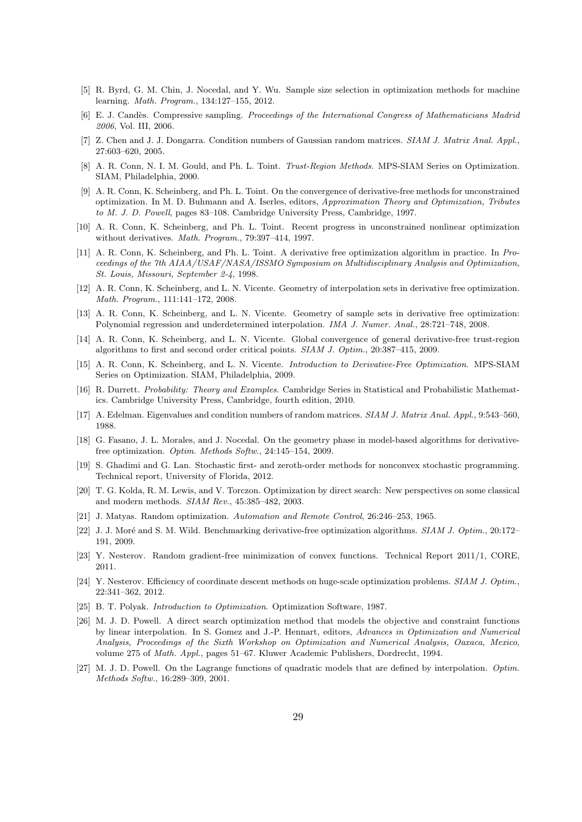- [5] R. Byrd, G. M. Chin, J. Nocedal, and Y. Wu. Sample size selection in optimization methods for machine learning. Math. Program., 134:127–155, 2012.
- [6] E. J. Candès. Compressive sampling. Proceedings of the International Congress of Mathematicians Madrid 2006, Vol. III, 2006.
- [7] Z. Chen and J. J. Dongarra. Condition numbers of Gaussian random matrices. SIAM J. Matrix Anal. Appl., 27:603–620, 2005.
- [8] A. R. Conn, N. I. M. Gould, and Ph. L. Toint. Trust-Region Methods. MPS-SIAM Series on Optimization. SIAM, Philadelphia, 2000.
- [9] A. R. Conn, K. Scheinberg, and Ph. L. Toint. On the convergence of derivative-free methods for unconstrained optimization. In M. D. Buhmann and A. Iserles, editors, Approximation Theory and Optimization, Tributes to M. J. D. Powell, pages 83–108. Cambridge University Press, Cambridge, 1997.
- [10] A. R. Conn, K. Scheinberg, and Ph. L. Toint. Recent progress in unconstrained nonlinear optimization without derivatives. Math. Program., 79:397–414, 1997.
- [11] A. R. Conn, K. Scheinberg, and Ph. L. Toint. A derivative free optimization algorithm in practice. In Proceedings of the 7th AIAA/USAF/NASA/ISSMO Symposium on Multidisciplinary Analysis and Optimization, St. Louis, Missouri, September 2-4, 1998.
- [12] A. R. Conn, K. Scheinberg, and L. N. Vicente. Geometry of interpolation sets in derivative free optimization. Math. Program., 111:141–172, 2008.
- [13] A. R. Conn, K. Scheinberg, and L. N. Vicente. Geometry of sample sets in derivative free optimization: Polynomial regression and underdetermined interpolation. IMA J. Numer. Anal., 28:721–748, 2008.
- [14] A. R. Conn, K. Scheinberg, and L. N. Vicente. Global convergence of general derivative-free trust-region algorithms to first and second order critical points. SIAM J. Optim., 20:387–415, 2009.
- [15] A. R. Conn, K. Scheinberg, and L. N. Vicente. Introduction to Derivative-Free Optimization. MPS-SIAM Series on Optimization. SIAM, Philadelphia, 2009.
- [16] R. Durrett. Probability: Theory and Examples. Cambridge Series in Statistical and Probabilistic Mathematics. Cambridge University Press, Cambridge, fourth edition, 2010.
- [17] A. Edelman. Eigenvalues and condition numbers of random matrices. SIAM J. Matrix Anal. Appl., 9:543–560, 1988.
- [18] G. Fasano, J. L. Morales, and J. Nocedal. On the geometry phase in model-based algorithms for derivativefree optimization. Optim. Methods Softw., 24:145–154, 2009.
- [19] S. Ghadimi and G. Lan. Stochastic first- and zeroth-order methods for nonconvex stochastic programming. Technical report, University of Florida, 2012.
- [20] T. G. Kolda, R. M. Lewis, and V. Torczon. Optimization by direct search: New perspectives on some classical and modern methods. SIAM Rev., 45:385–482, 2003.
- [21] J. Matyas. Random optimization. Automation and Remote Control, 26:246–253, 1965.
- [22] J. J. Moré and S. M. Wild. Benchmarking derivative-free optimization algorithms. SIAM J. Optim., 20:172– 191, 2009.
- [23] Y. Nesterov. Random gradient-free minimization of convex functions. Technical Report 2011/1, CORE, 2011.
- [24] Y. Nesterov. Efficiency of coordinate descent methods on huge-scale optimization problems. SIAM J. Optim., 22:341–362, 2012.
- [25] B. T. Polyak. Introduction to Optimization. Optimization Software, 1987.
- [26] M. J. D. Powell. A direct search optimization method that models the objective and constraint functions by linear interpolation. In S. Gomez and J.-P. Hennart, editors, Advances in Optimization and Numerical Analysis, Proceedings of the Sixth Workshop on Optimization and Numerical Analysis, Oaxaca, Mexico, volume 275 of Math. Appl., pages 51–67. Kluwer Academic Publishers, Dordrecht, 1994.
- [27] M. J. D. Powell. On the Lagrange functions of quadratic models that are defined by interpolation. Optim. Methods Softw., 16:289–309, 2001.